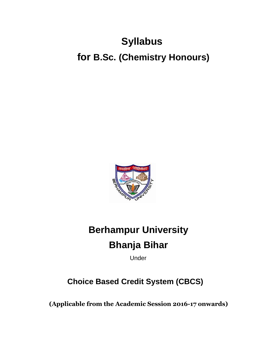# **Syllabus for B.Sc. (Chemistry Honours)**



# **Berhampur University Bhanja Bihar**

Under

## **Choice Based Credit System (CBCS)**

**(Applicable from the Academic Session 2016-17 onwards)**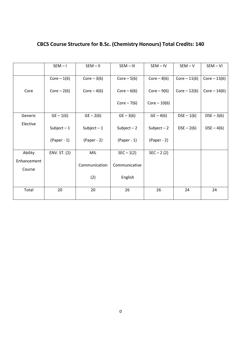|                       | $SEM - I$     | $SEM - II$    | $SEM - III$   | $SEM - IV$     | $SEM - V$      | $SEM - VI$     |
|-----------------------|---------------|---------------|---------------|----------------|----------------|----------------|
|                       | $Core-1(6)$   | $Core-3(6)$   | $Core-5(6)$   | $Core-8(6)$    | $Core - 11(6)$ | $Core - 13(6)$ |
| Core                  | $Core-2(6)$   | Core $-4(6)$  | $Core-6(6)$   | Core $-9(6)$   | $Core - 12(6)$ | $Core - 14(6)$ |
|                       |               |               | Core $-7(6)$  | $Core - 10(6)$ |                |                |
| Generic               | $GE - 1(6)$   | $GE - 2(6)$   | $GE - 3(6)$   | $GE - 4(6)$    | $DSE - 1(6)$   | $DSE - 3(6)$   |
| Elective              | Subject $-1$  | Subject $-1$  | Subject $-2$  | Subject $-2$   | $DSE - 2(6)$   | $DSE - 4(6)$   |
|                       | $(Paper - 1)$ | $(Paper - 2)$ | $(Paper - 1)$ | $(Paper - 2)$  |                |                |
| Ability               | ENV. ST. (2)  | MIL           | $SEC - 1(2)$  | $SEC - 2 (2)$  |                |                |
| Enhancement<br>Course |               | Communication | Communicative |                |                |                |
|                       |               | (2)           | English       |                |                |                |
| Total                 | 20            | 20            | 26            | 26             | 24             | 24             |

## **CBCS Course Structure for B.Sc. (Chemistry Honours) Total Credits: 140**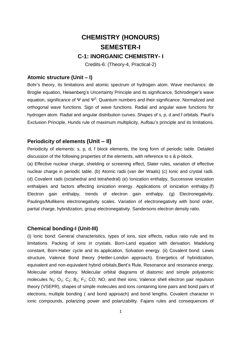## **CHEMISTRY (HONOURS) SEMESTER-I**

### **C-1: INORGANIC CHEMISTRY- I**

Credits-6: (Theory-4, Practical-2)

#### **Atomic structure (Unit – I)**

Bohr's theory, its limitations and atomic spectrum of hydrogen atom. Wave mechanics: de Broglie equation, Heisenberg's Uncertainty Principle and its significance, Schrodinger's wave equation, significance of Ψ and  $\Psi^2$ : Quantum numbers and their significance. Normalized and orthogonal wave functions. Sign of wave functions. Radial and angular wave functions for hydrogen atom. Radial and angular distribution curves. Shapes of s, p, d and f orbitals. Pauli's Exclusion Principle, Hunds rule of maximum multiplicity, Aufbau's principle and its limitations.

#### **Periodicity of elements (Unit – II)**

Periodicity of elements: s, p, d, f block elements, the long form of periodic table. Detailed discussion of the following properties of the elements, with reference to s & p-block.

(a) Effective nuclear charge, shielding or screening effect, Slater rules, variation of effective nuclear charge in periodic table. (b) Atomic radii (van der Waals) (c) Ionic and crystal radii. (d) Covalent radii (octahedral and tetrahedral) (e) Ionization enthalpy, Successive ionization enthalpies and factors affecting ionization energy. Applications of ionization enthalpy.(f) Electron gain enthalpy, trends of electron gain enthalpy. (g) Electronegativity, Paulings/Mullikens electronegativity scales. Variation of electronegativity with bond order, partial charge, hybridization, group electronegativity. Sandersons electron density ratio.

#### **Chemical bonding-I (Unit-III)**

(i) Ionic bond: General characteristics, types of ions, size effects, radius ratio rule and its limitations. Packing of ions in crystals. Born-Land equation with derivation. Madelung constant, Born-Haber cycle and its application, Solvation energy. (ii) Covalent bond: Lewis structure, Valence Bond theory (Heitler-London approach). Energetics of hybridization, equivalent and non-equivalent hybrid orbitals, Bent's Rule, Resonance and resonance energy, Molecular orbital theory. Molecular orbital diagrams of diatomic and simple polyatomic molecules  $N_2$ ;  $O_2$ ;  $O_2$ ;  $B_2$ ;  $F_2$ ;  $CO$ ;  $NO$ ; and their ions; Valence shell electron pair repulsion theory (VSEPR), shapes of simple molecules and ions containing lone pairs and bond pairs of electrons, multiple bonding ( and bond approach) and bond lengths. Covalent character in ionic compounds, polarizing power and polarizability. Fajans rules and consequences of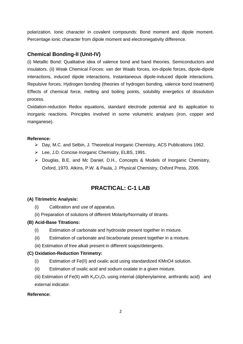polarization. Ionic character in covalent compounds: Bond moment and dipole moment. Percentage ionic character from dipole moment and electronegativity difference.

## **Chemical Bonding-II (Unit-IV)**

(i) Metallic Bond: Qualitative idea of valence bond and band theories. Semiconductors and insulators. (ii) Weak Chemical Forces: van der Waals forces, ion-dipole forces, dipole-dipole interactions, induced dipole interactions, Instantaneous dipole-induced dipole interactions. Repulsive forces, Hydrogen bonding (theories of hydrogen bonding, valence bond treatment) Effects of chemical force, melting and boiling points, solubility energetics of dissolution process.

Oxidation-reduction Redox equations, standard electrode potential and its application to inorganic reactions. Principles involved in some volumetric analyses (iron, copper and manganese).

#### **Reference:**

- Day, M.C. and Selbin, J. Theoretical Inorganic Chemistry, ACS Publications 1962.
- Lee, J.D. Concise Inorganic Chemistry, ELBS, 1991.
- Douglas, B.E. and Mc Daniel, D.H., Concepts & Models of Inorganic Chemistry, Oxford, 1970. Atkins, P.W. & Paula, J. Physical Chemistry, Oxford Press, 2006.

## **PRACTICAL: C-1 LAB**

#### **(A) Titrimetric Analysis:**

- (i) Calibration and use of apparatus.
- (ii) Preparation of solutions of different Molarity/Normality of titrants.

#### **(B) Acid-Base Titrations:**

- (i) Estimation of carbonate and hydroxide present together in mixture.
- (ii) Estimation of carbonate and bicarbonate present together in a mixture.
- (iii) Estimation of free alkali present in different soaps/detergents.

#### **(C) Oxidation-Reduction Titrimetry:**

- (i) Estimation of Fe(II) and oxalic acid using standardized KMnO4 solution.
- (ii) Estimation of oxalic acid and sodium oxalate in a given mixture.
- (iii) Estimation of Fe(II) with  $K_2Cr_2O_7$  using internal (diphenylamine, anthranilic acid) and external indicator.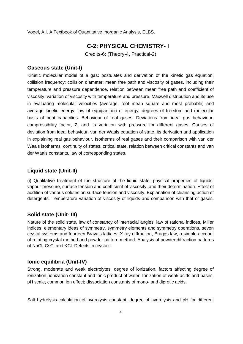Vogel, A.I. A Textbook of Quantitative Inorganic Analysis, ELBS.

## **C-2: PHYSICAL CHEMISTRY- I**

Credits-6: (Theory-4, Practical-2)

#### **Gaseous state (Unit-I)**

Kinetic molecular model of a gas: postulates and derivation of the kinetic gas equation; collision frequency; collision diameter; mean free path and viscosity of gases, including their temperature and pressure dependence, relation between mean free path and coefficient of viscosity; variation of viscosity with temperature and pressure. Maxwell distribution and its use in evaluating molecular velocities (average, root mean square and most probable) and average kinetic energy, law of equipartition of energy, degrees of freedom and molecular basis of heat capacities. Behaviour of real gases: Deviations from ideal gas behaviour, compressibility factor, Z, and its variation with pressure for different gases. Causes of deviation from ideal behaviour. van der Waals equation of state, its derivation and application in explaining real gas behaviour. Isotherms of real gases and their comparison with van der Waals isotherms, continuity of states, critical state, relation between critical constants and van der Waals constants, law of corresponding states.

#### **Liquid state (Unit-II)**

(i) Qualitative treatment of the structure of the liquid state; physical properties of liquids; vapour pressure, surface tension and coefficient of viscosity, and their determination. Effect of addition of various solutes on surface tension and viscosity. Explanation of cleansing action of detergents. Temperature variation of viscosity of liquids and comparison with that of gases.

#### **Solid state (Unit- III)**

Nature of the solid state, law of constancy of interfacial angles, law of rational indices, Miller indices, elementary ideas of symmetry, symmetry elements and symmetry operations, seven crystal systems and fourteen Bravais lattices; X-ray diffraction, Braggs law, a simple account of rotating crystal method and powder pattern method. Analysis of powder diffraction patterns of NaCl, CsCl and KCl. Defects in crystals.

#### **Ionic equilibria (Unit-IV)**

Strong, moderate and weak electrolytes, degree of ionization, factors affecting degree of ionization, ionization constant and ionic product of water. Ionization of weak acids and bases, pH scale, common ion effect; dissociation constants of mono- and diprotic acids.

Salt hydrolysis-calculation of hydrolysis constant, degree of hydrolysis and pH for different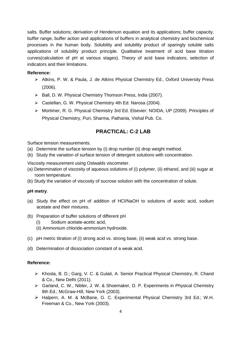salts. Buffer solutions; derivation of Henderson equation and its applications; buffer capacity, buffer range, buffer action and applications of buffers in analytical chemistry and biochemical processes in the human body. Solubility and solubility product of sparingly soluble salts applications of solubility product principle. Qualitative treatment of acid base titration curves(calculation of pH at various stages). Theory of acid base indicators; selection of indicators and their limitations.

#### **Reference:**

- Atkins, P. W. & Paula, J. de Atkins Physical Chemistry Ed., Oxford University Press (2006).
- $\triangleright$  Ball, D. W. Physical Chemistry Thomson Press, India (2007).
- Castellan, G. W. Physical Chemistry 4th Ed. Narosa (2004).
- Mortimer, R. G. Physical Chemistry 3rd Ed. Elsevier: NOIDA, UP (2009). Principles of Physical Chemistry, Puri, Sharma, Pathania, Vishal Pub. Co.

## **PRACTICAL: C-2 LAB**

Surface tension measurements.

- (a) Determine the surface tension by (i) drop number (ii) drop weight method.
- (b) Study the variation of surface tension of detergent solutions with concentration.

Viscosity measurement using Ostwalds viscometer.

- (a) Determination of viscosity of aqueous solutions of (i) polymer, (ii) ethanol, and (iii) sugar at room temperature.
- (b) Study the variation of viscosity of sucrose solution with the concentration of solute.

#### **pH metry**.

- (a) Study the effect on pH of addition of HCl/NaOH to solutions of acetic acid, sodium acetate and their mixtures.
- (b) Preparation of buffer solutions of different pH
	- (i) Sodium acetate-acetic acid,
	- (ii) Ammonium chloride-ammonium hydroxide.
- (c) pH metric titration of (i) strong acid vs. strong base, (ii) weak acid vs. strong base.
- (d) Determination of dissociation constant of a weak acid.

- Khosla, B. D.; Garg, V. C. & Gulati, A. Senior Practical Physical Chemistry, R. Chand & Co., New Delhi (2011).
- Garland, C. W., Nibler, J. W. & Shoemaker, D. P. Experiments in Physical Chemistry 8th Ed.; McGraw-Hill, New York (2003).
- Halpern, A. M. & McBane, G. C. Experimental Physical Chemistry 3rd Ed.; W.H. Freeman & Co., New York (2003).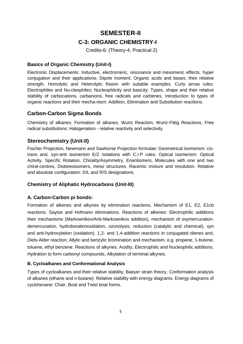## **SEMESTER-II C-3: ORGANIC CHEMISTRY-I**

Credits-6: (Theory-4, Practical-2)

## **Basics of Organic Chemistry (Unit-I)**

Electronic Displacements: Inductive, electromeric, resonance and mesomeric effects, hyper conjugation and their applications; Dipole moment; Organic acids and bases; their relative strength. Homolytic and Heterolytic fission with suitable examples. Curly arrow rules; Electrophiles and Nu-cleophiles; Nucleophlicity and basicity; Types, shape and their relative stability of carbocations, carbanions, free radicals and carbenes. Introduction to types of organic reactions and their mecha-nism: Addition, Elimination and Substitution reactions.

## **Carbon-Carbon Sigma Bonds**

Chemistry of alkanes: Formation of alkanes, Wurtz Reaction, Wurtz-Fittig Reactions, Free radical substitutions: Halogenation - relative reactivity and selectivity.

## **Stereochemistry (Unit-II)**

Fischer Projection, Newmann and Sawhorse Projection formulae; Geometrical isomerism: cistrans and, syn-anti isomerism E/Z notations with C.I.P rules. Optical Isomerism: Optical Activity, Specific Rotation, Chirality/Asymmetry, Enantiomers, Molecules with one and two chiral-centres, Distereoisomers, meso structures, Racemic mixture and resolution. Relative and absolute configuration: D/L and R/S designations.

## **Chemistry of Aliphatic Hydrocarbons (Unit-III)**

#### **A. Carbon-Carbon pi bonds:**

Formation of alkenes and alkynes by elimination reactions, Mechanism of E1, E2, E1cb reactions. Saytze and Hofmann eliminations. Reactions of alkenes: Electrophilic additions their mechanisms (Markownikov/Anti-Markownikov addition), mechanism of oxymercurationdemercuration, hydroborationoxidation, ozonolysis, reduction (catalytic and chemical), syn and anti-hydroxylation (oxidation). 1,2- and 1,4-addition reactions in conjugated dienes and, Diels-Alder reaction; Allylic and benzylic bromination and mechanism, e.g. propene, 1-butene, toluene, ethyl benzene. Reactions of alkynes: Acidity, Electrophilic and Nucleophilic additions. Hydration to form carbonyl compounds, Alkylation of terminal alkynes.

#### **B. Cycloalkanes and Conformational Analysis**

Types of cycloalkanes and their relative stability, Baeyer strain theory, Conformation analysis of alkanes (ethane and n-butane): Relative stability with energy diagrams. Energy diagrams of cyclohexane: Chair, Boat and Twist boat forms.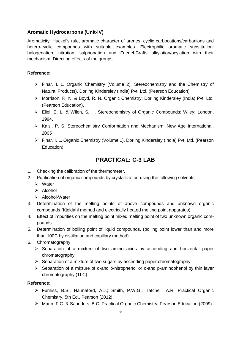## **Aromatic Hydrocarbons (Unit-IV)**

Aromaticity: Huckel's rule, aromatic character of arenes, cyclic carbocations/carbanions and hetero-cyclic compounds with suitable examples. Electrophilic aromatic substitution: halogenation, nitration, sulphonation and Friedel-Crafts alkylation/acylation with their mechanism. Directing effects of the groups.

#### **Reference:**

- Finar, I. L. Organic Chemistry (Volume 2): Stereochemistry and the Chemistry of Natural Products), Dorling Kindersley (India) Pvt. Ltd. (Pearson Education)
- Morrison, R. N. & Boyd, R. N. Organic Chemistry, Dorling Kindersley (India) Pvt. Ltd. (Pearson Education).
- Eliel, E. L. & Wilen, S. H. Stereochemistry of Organic Compounds; Wiley: London, 1994.
- ▶ Kalsi, P. S. Stereochemistry Conformation and Mechanism; New Age International, 2005
- Finar, I. L. Organic Chemistry (Volume 1), Dorling Kindersley (India) Pvt. Ltd. (Pearson Education).

## **PRACTICAL: C-3 LAB**

- 1. Checking the calibration of the thermometer.
- 2. Purification of organic compounds by crystallization using the following solvents:
	- Water
	- $\triangleright$  Alcohol
	- $\triangleright$  Alcohol-Water
- 3. Determination of the melting points of above compounds and unknown organic compounds (Kjeldahl method and electrically heated melting point apparatus).
- 4. Effect of impurities on the melting point mixed melting point of two unknown organic compounds.
- 5. Determination of boiling point of liquid compounds. (boiling point lower than and more than 100C by distillation and capillary method)
- 6. Chromatography
	- $\triangleright$  Separation of a mixture of two amino acids by ascending and horizontal paper chromatography.
	- $\triangleright$  Separation of a mixture of two sugars by ascending paper chromatography.
	- $\triangleright$  Separation of a mixture of o-and p-nitrophenol or o-and p-aminophenol by thin layer chromatography (TLC).

- Furniss, B.S., Hannaford, A.J.; Smith, P.W.G.; Tatchell, A.R. Practical Organic Chemistry, 5th Ed., Pearson (2012).
- Mann, F.G. & Saunders, B.C. Practical Organic Chemistry, Pearson Education (2009).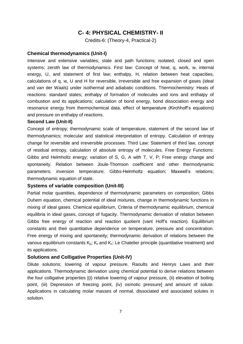## **C- 4: PHYSICAL CHEMISTRY- II**

Credits-6: (Theory-4, Practical-2)

#### **Chemical thermodynamics (Unit-I)**

Intensive and extensive variables; state and path functions; isolated, closed and open systems; zeroth law of thermodynamics. First law: Concept of heat, q, work, w, internal energy, U, and statement of first law; enthalpy, H, relation between heat capacities, calculations of q, w, U and H for reversible, irreversible and free expansion of gases (ideal and van der Waals) under isothermal and adiabatic conditions. Thermochemistry: Heats of reactions: standard states; enthalpy of formation of molecules and ions and enthalpy of combustion and its applications; calculation of bond energy, bond dissociation energy and resonance energy from thermochemical data, effect of temperature (Kirchhoff's equations) and pressure on enthalpy of reactions.

#### **Second Law (Unit-II)**

Concept of entropy; thermodynamic scale of temperature, statement of the second law of thermodynamics; molecular and statistical interpretation of entropy. Calculation of entropy change for reversible and irreversible processes. Third Law: Statement of third law, concept of residual entropy, calculation of absolute entropy of molecules. Free Energy Functions: Gibbs and Helmholtz energy; variation of S, G, A with T, V, P; Free energy change and spontaneity. Relation between Joule-Thomson coefficient and other thermodynamic parameters; inversion temperature; Gibbs-Helmholtz equation; Maxwell's relations; thermodynamic equation of state.

#### **Systems of variable composition (Unit-III)**

Partial molar quantities, dependence of thermodynamic parameters on composition; Gibbs Duhem equation, chemical potential of ideal mixtures, change in thermodynamic functions in mixing of ideal gases. Chemical equilibrium, Criteria of thermodynamic equilibrium, chemical equilibria in ideal gases, concept of fugacity. Thermodynamic derivation of relation between Gibbs free energy of reaction and reaction quotient (vant Hoff's reaction). Equilibrium constants and their quantitative dependence on temperature, pressure and concentration. Free energy of mixing and spontaneity; thermodynamic derivation of relations between the various equilibrium constants  $K_p$ ;  $K_c$  and  $K_x$ : Le Chatelier principle (quantitative treatment) and its applications.

#### **Solutions and Colligative Properties (Unit-IV)**

Dilute solutions; lowering of vapour pressure, Raoults and Henrys Laws and their applications. Thermodynamic derivation using chemical potential to derive relations between the four colligative properties [(i) relative lowering of vapour pressure, (ii) elevation of boiling point, (iii) Depression of freezing point, (iv) osmotic pressure] and amount of solute. Applications in calculating molar masses of normal, dissociated and associated solutes in solution.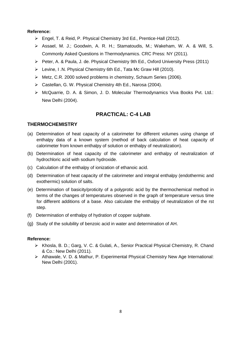#### **Reference:**

- Engel, T. & Reid, P. Physical Chemistry 3rd Ed., Prentice-Hall (2012).
- Assael, M. J.; Goodwin, A. R. H.; Stamatoudis, M.; Wakeham, W. A. & Will, S. Commonly Asked Questions in Thermodynamics. CRC Press: NY (2011).
- Peter, A. & Paula, J. de. Physical Chemistry 9th Ed., Oxford University Press (2011)
- Levine, I .N. Physical Chemistry 6th Ed., Tata Mc Graw Hill (2010).
- Metz, C.R. 2000 solved problems in chemistry, Schaum Series (2006).
- ▶ Castellan, G. W. Physical Chemistry 4th Ed., Narosa (2004).
- > McQuarrie, D. A. & Simon, J. D. Molecular Thermodynamics Viva Books Pvt. Ltd.: New Delhi (2004).

## **PRACTICAL: C-4 LAB**

#### **THERMOCHEMISTRY**

- (a) Determination of heat capacity of a calorimeter for different volumes using change of enthalpy data of a known system (method of back calculation of heat capacity of calorimeter from known enthalpy of solution or enthalpy of neutralization).
- (b) Determination of heat capacity of the calorimeter and enthalpy of neutralization of hydrochloric acid with sodium hydroxide.
- (c) Calculation of the enthalpy of ionization of ethanoic acid.
- (d) Determination of heat capacity of the calorimeter and integral enthalpy (endothermic and exothermic) solution of salts.
- (e) Determination of basicity/proticity of a polyprotic acid by the thermochemical method in terms of the changes of temperatures observed in the graph of temperature versus time for different additions of a base. Also calculate the enthalpy of neutralization of the rst step.
- (f) Determination of enthalpy of hydration of copper sulphate.
- (g) Study of the solubility of benzoic acid in water and determination of AH.

- Khosla, B. D.; Garg, V. C. & Gulati, A., Senior Practical Physical Chemistry, R. Chand & Co.: New Delhi (2011).
- Athawale, V. D. & Mathur, P. Experimental Physical Chemistry New Age International: New Delhi (2001).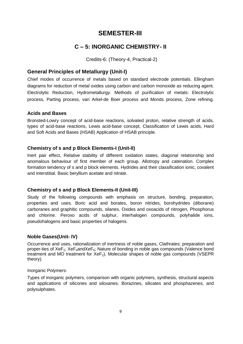## **SEMESTER-III**

## **C – 5: INORGANIC CHEMISTRY- II**

Credits-6: (Theory-4, Practical-2)

## **General Principles of Metallurgy (Unit-I)**

Chief modes of occurrence of metals based on standard electrode potentials. Ellingham diagrams for reduction of metal oxides using carbon and carbon monoxide as reducing agent. Electrolytic Reduction, Hydrometallurgy. Methods of purification of metals: Electrolytic process, Parting process, van Arkel-de Boer process and Monds process, Zone refining.

## **Acids and Bases**

Bronsted-Lowry concept of acid-base reactions, solvated proton, relative strength of acids, types of acid-base reactions, Lewis acid-base concept, Classification of Lewis acids, Hard and Soft Acids and Bases (HSAB) Application of HSAB principle.

## **Chemistry of s and p Block Elements-I (Unit-II)**

Inert pair effect, Relative stability of different oxidation states, diagonal relationship and anomalous behaviour of first member of each group. Allotropy and catenation. Complex formation tendency of s and p block elements. Hydrides and their classification ionic, covalent and interstitial. Basic beryllium acetate and nitrate.

## **Chemistry of s and p Block Elements-II (Unit-III)**

Study of the following compounds with emphasis on structure, bonding, preparation, properties and uses. Boric acid and borates, boron nitrides, borohydrides (diborane) carboranes and graphitic compounds, silanes. Oxides and oxoacids of nitrogen, Phosphorus and chlorine. Peroxo acids of sulphur, interhalogen compounds, polyhalide ions, pseudohalogens and basic properties of halogens.

#### **Noble Gases(Unit- IV)**

Occurrence and uses, rationalization of inertness of noble gases, Clathrates; preparation and proper-ties of  $XeF_2$ ;  $XeF_4$ and $XeF_6$ ; Nature of bonding in noble gas compounds (Valence bond treatment and MO treatment for  $XeF<sub>2</sub>$ ). Molecular shapes of noble gas compounds (VSEPR theory).

#### Inorganic Polymers:

Types of inorganic polymers, comparison with organic polymers, synthesis, structural aspects and applications of silicones and siloxanes. Borazines, silicates and phosphazenes, and polysulphates.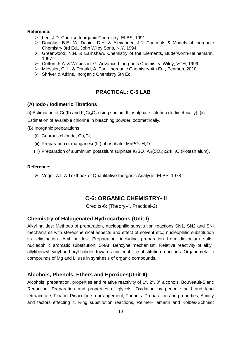#### **Reference:**

- Lee, J.D. Concise Inorganic Chemistry, ELBS, 1991.
- Douglas, B.E; Mc Daniel, D.H. & Alexander, J.J. Concepts & Models of Inorganic Chemistry 3rd Ed., John Wiley Sons, N.Y. 1994.
- Greenwood, N.N. & Earnshaw. Chemistry of the Elements, Butterworth-Heinemann. 1997.
- Cotton, F.A. & Wilkinson, G. Advanced Inorganic Chemistry, Wiley, VCH, 1999.
- Miessler, G. L. & Donald, A. Tarr. Inorganic Chemistry 4th Ed., Pearson, 2010.
- $\triangleright$  Shriver & Atkins, Inorganic Chemistry 5th Ed.

## **PRACTICAL: C-5 LAB**

#### **(A) Iodo / Iodimetric Titrations**

(i) Estimation of Cu(II) and  $K_2Cr_2O_7$  using sodium thiosulphate solution (lodimetrically). (ii)

Estimation of available chlorine in bleaching powder iodometrically.

(B) Inorganic preparations

- (i) Cuprous chloride,  $Cu<sub>2</sub>Cl<sub>2</sub>$ :
- (ii) Preparation of manganese(III) phosphate,  $MnPO_4:H_2O$ :
- (iii) Preparation of aluminium potassium sulphate  $K_2SO_4$ :Al<sub>2</sub>(SO<sub>4</sub>)<sub>2</sub>:24H<sub>2</sub>O (Potash alum).

#### **Reference:**

Vogel, A.I. A Textbook of Quantitative Inorganic Analysis, ELBS. 1978

## **C-6: ORGANIC CHEMISTRY- II**

Credits-6: (Theory-4, Practical-2)

#### **Chemistry of Halogenated Hydrocarbons (Unit-I)**

Alkyl halides: Methods of preparation, nucleophilic substitution reactions SN1, SN2 and SNi mechanisms with stereochemical aspects and effect of solvent etc.; nucleophilic substitution vs. elimination. Aryl halides: Preparation, including preparation from diazonium salts, nucleophilic aromatic substitution; SNAr, Benzyne mechanism. Relative reactivity of alkyl, allyl/benzyl, vinyl and aryl halides towards nucleophilic substitution reactions. Organometallic compounds of Mg and Li use in synthesis of organic compounds.

#### **Alcohols, Phenols, Ethers and Epoxides(Unit-II)**

Alcohols: preparation, properties and relative reactivity of 1°, 2°, 3° alcohols, Bouveault-Blanc Reduction; Preparation and properties of glycols: Oxidation by periodic acid and lead tetraacetate, Pinacol-Pinacolone rearrangement; Phenols: Preparation and properties; Acidity and factors effecting it, Ring substitution reactions, Reimer-Tiemann and Kolbes-Schmidt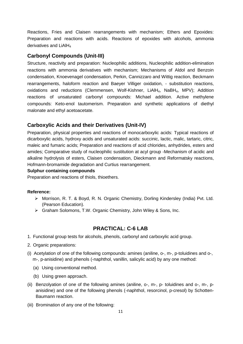Reactions, Fries and Claisen rearrangements with mechanism; Ethers and Epoxides: Preparation and reactions with acids. Reactions of epoxides with alcohols, ammonia derivatives and LiAlH<sub>4</sub>

## **Carbonyl Compounds (Unit-III)**

Structure, reactivity and preparation: Nucleophilic additions, Nucleophilic addition-elimination reactions with ammonia derivatives with mechanism; Mechanisms of Aldol and Benzoin condensation, Knoevenagel condensation, Perkin, Cannizzaro and Wittig reaction, Beckmann rearrangements, haloform reaction and Baeyer Villiger oxidation, - substitution reactions, oxidations and reductions (Clemmensen, Wolf-Kishner, LiAlH $_4$ , NaBH $_4$ , MPV); Addition reactions of unsaturated carbonyl compounds: Michael addition. Active methylene compounds: Keto-enol tautomerism. Preparation and synthetic applications of diethyl malonate and ethyl acetoacetate.

## **Carboxylic Acids and their Derivatives (Unit-IV)**

Preparation, physical properties and reactions of monocarboxylic acids: Typical reactions of dicarboxylic acids, hydroxy acids and unsaturated acids: succinic, lactic, malic, tartaric, citric, maleic and fumaric acids; Preparation and reactions of acid chlorides, anhydrides, esters and amides; Comparative study of nucleophilic sustitution at acyl group -Mechanism of acidic and alkaline hydrolysis of esters, Claisen condensation, Dieckmann and Reformatsky reactions, Hofmann-bromamide degradation and Curtius rearrangement.

#### **Sulphur containing compounds**

Preparation and reactions of thiols, thioethers.

#### **Reference:**

- Morrison, R. T. & Boyd, R. N. Organic Chemistry, Dorling Kindersley (India) Pvt. Ltd. (Pearson Education).
- Graham Solomons, T.W. Organic Chemistry, John Wiley & Sons, Inc.

#### **PRACTICAL: C-6 LAB**

- 1. Functional group tests for alcohols, phenols, carbonyl and carboxylic acid group.
- 2. Organic preparations:
- (i) Acetylation of one of the following compounds: amines (aniline, o-, m-, p-toluidines and o-, m-, p-anisidine) and phenols (-naphthol, vanillin, salicylic acid) by any one method:
	- (a) Using conventional method.
	- (b) Using green approach.
- (ii) Benzolyation of one of the following amines (aniline, o-, m-, p- toluidines and o-, m-, panisidine) and one of the following phenols (-naphthol, resorcinol, p-cresol) by Schotten-Baumann reaction.
- (iii) Bromination of any one of the following: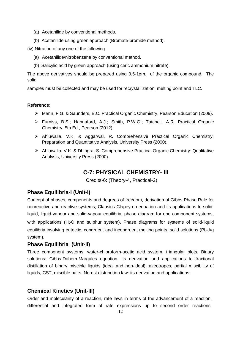- (a) Acetanilide by conventional methods.
- (b) Acetanilide using green approach (Bromate-bromide method).

(iv) Nitration of any one of the following:

- (a) Acetanilide/nitrobenzene by conventional method.
- (b) Salicylic acid by green approach (using ceric ammonium nitrate).

The above derivatives should be prepared using 0.5-1gm. of the organic compound. The solid

samples must be collected and may be used for recrystallization, melting point and TLC.

#### **Reference:**

- Mann, F.G. & Saunders, B.C. Practical Organic Chemistry, Pearson Education (2009).
- Furniss, B.S.; Hannaford, A.J.; Smith, P.W.G.; Tatchell, A.R. Practical Organic Chemistry, 5th Ed., Pearson (2012).
- Ahluwalia, V.K. & Aggarwal, R. Comprehensive Practical Organic Chemistry: Preparation and Quantitative Analysis, University Press (2000).
- Ahluwalia, V.K. & Dhingra, S. Comprehensive Practical Organic Chemistry: Qualitative Analysis, University Press (2000).

## **C-7: PHYSICAL CHEMISTRY- III**

Credits-6: (Theory-4, Practical-2)

#### **Phase Equilibria-I (Unit-I)**

Concept of phases, components and degrees of freedom, derivation of Gibbs Phase Rule for nonreactive and reactive systems; Clausius-Clapeyron equation and its applications to solidliquid, liquid-vapour and solid-vapour equilibria, phase diagram for one component systems, with applications (H<sub>2</sub>O and sulphur system). Phase diagrams for systems of solid-liquid equilibria involving eutectic, congruent and incongruent melting points, solid solutions (Pb-Ag system).

#### **Phase Equilibria (Unit-II)**

Three component systems, water-chloroform-acetic acid system, triangular plots. Binary solutions: Gibbs-Duhem-Margules equation, its derivation and applications to fractional distillation of binary miscible liquids (ideal and non-ideal), azeotropes, partial miscibility of liquids, CST, miscible pairs. Nernst distribution law: its derivation and applications.

#### **Chemical Kinetics (Unit-III)**

Order and molecularity of a reaction, rate laws in terms of the advancement of a reaction, differential and integrated form of rate expressions up to second order reactions,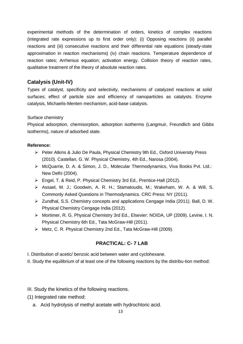experimental methods of the determination of orders, kinetics of complex reactions (integrated rate expressions up to first order only): (i) Opposing reactions (ii) parallel reactions and (iii) consecutive reactions and their differential rate equations (steady-state approximation in reaction mechanisms) (iv) chain reactions. Temperature dependence of reaction rates; Arrhenius equation; activation energy. Collision theory of reaction rates, qualitative treatment of the theory of absolute reaction rates.

## **Catalysis (Unit-IV)**

Types of catalyst, specificity and selectivity, mechanisms of catalyzed reactions at solid surfaces; effect of particle size and efficiency of nanoparticles as catalysts. Enzyme catalysis, Michaelis-Menten mechanism, acid-base catalysis.

#### Surface chemistry

Physical adsorption, chemisorption, adsorption isotherms (Langmuir, Freundlich and Gibbs isotherms), nature of adsorbed state.

#### **Reference:**

- Peter Atkins & Julio De Paula, Physical Chemistry 9th Ed., Oxford University Press (2010). Castellan, G. W. Physical Chemistry, 4th Ed., Narosa (2004).
- > McQuarrie, D. A. & Simon, J. D., Molecular Thermodynamics, Viva Books Pvt. Ltd.: New Delhi (2004).
- Engel, T. & Reid, P. Physical Chemistry 3rd Ed., Prentice-Hall (2012).
- Assael, M. J.; Goodwin, A. R. H.; Stamatoudis, M.; Wakeham, W. A. & Will, S. Commonly Asked Questions in Thermodynamics. CRC Press: NY (2011).
- Zundhal, S.S. Chemistry concepts and applications Cengage India (2011). Ball, D. W. Physical Chemistry Cengage India (2012).
- Mortimer, R. G. Physical Chemistry 3rd Ed., Elsevier: NOIDA, UP (2009). Levine, I. N. Physical Chemistry 6th Ed., Tata McGraw-Hill (2011).
- ▶ Metz, C. R. Physical Chemistry 2nd Ed., Tata McGraw-Hill (2009).

## **PRACTICAL: C- 7 LAB**

I. Distribution of acetic/ benzoic acid between water and cyclohexane.

II. Study the equilibrium of at least one of the following reactions by the distribu-tion method:

- III. Study the kinetics of the following reactions.
- (1) Integrated rate method:
	- a. Acid hydrolysis of methyl acetate with hydrochloric acid.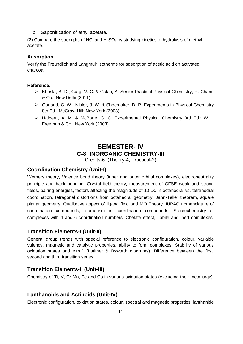b. Saponification of ethyl acetate.

(2) Compare the strengths of HCl and  $H_2SO_4$  by studying kinetics of hydrolysis of methyl acetate.

#### **Adsorption**

Verify the Freundlich and Langmuir isotherms for adsorption of acetic acid on activated charcoal.

#### **Reference:**

- Khosla, B. D.; Garg, V. C. & Gulati, A. Senior Practical Physical Chemistry, R. Chand & Co.: New Delhi (2011).
- Garland, C. W.; Nibler, J. W. & Shoemaker, D. P. Experiments in Physical Chemistry 8th Ed.; McGraw-Hill: New York (2003).
- Halpern, A. M. & McBane, G. C. Experimental Physical Chemistry 3rd Ed.; W.H. Freeman & Co.: New York (2003).

## **SEMESTER- IV C-8: INORGANIC CHEMISTRY-III**

Credits-6: (Theory-4, Practical-2)

### **Coordination Chemistry (Unit-I)**

Werners theory, Valence bond theory (inner and outer orbital complexes), electroneutrality principle and back bonding. Crystal field theory, measurement of CFSE weak and strong fields, pairing energies, factors affecting the magnitude of 10 Dq in octahedral vs. tetrahedral coordination, tetragonal distortions from octahedral geometry, Jahn-Teller theorem, square planar geometry. Qualitative aspect of ligand field and MO Theory. IUPAC nomenclature of coordination compounds, isomerism in coordination compounds. Stereochemistry of complexes with 4 and 6 coordination numbers. Chelate effect, Labile and inert complexes.

#### **Transition Elements-I (Unit-II)**

General group trends with special reference to electronic configuration, colour, variable valency, magnetic and catalytic properties, ability to form complexes. Stability of various oxidation states and e.m.f. (Latimer & Bsworth diagrams). Difference between the first, second and third transition series.

#### **Transition Elements-II (Unit-III)**

Chemistry of Ti, V, Cr Mn, Fe and Co in various oxidation states (excluding their metallurgy).

#### **Lanthanoids and Actinoids (Unit-IV)**

Electronic configuration, oxidation states, colour, spectral and magnetic properties, lanthanide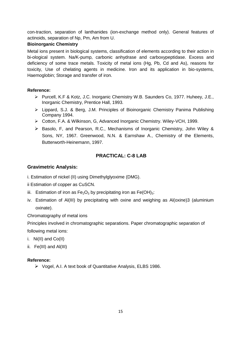con-traction, separation of lanthanides (ion-exchange method only). General features of actinoids, separation of Np, Pm, Am from U.

#### **Bioinorganic Chemistry**

Metal ions present in biological systems, classification of elements according to their action in bi-ological system. Na/K-pump, carbonic anhydrase and carboxypeptidase. Excess and deficiency of some trace metals. Toxicity of metal ions (Hg, Pb, Cd and As), reasons for toxicity, Use of chelating agents in medicine. Iron and its application in bio-systems, Haemoglobin; Storage and transfer of iron.

#### **Reference:**

- Purcell, K.F & Kotz, J.C. Inorganic Chemistry W.B. Saunders Co, 1977. Huheey, J.E., Inorganic Chemistry, Prentice Hall, 1993.
- Lippard, S.J. & Berg, J.M. Principles of Bioinorganic Chemistry Panima Publishing Company 1994.
- Cotton, F.A. & Wilkinson, G, Advanced Inorganic Chemistry. Wiley-VCH, 1999.
- $\triangleright$  Basolo, F, and Pearson, R.C., Mechanisms of Inorganic Chemistry, John Wiley & Sons, NY, 1967. Greenwood, N.N. & Earnshaw A., Chemistry of the Elements, Butterworth-Heinemann, 1997.

## **PRACTICAL: C-8 LAB**

#### **Gravimetric Analysis:**

- i. Estimation of nickel (II) using Dimethylglyoxime (DMG).
- ii Estimation of copper as CuSCN.
- iii. Estimation of iron as  $Fe<sub>2</sub>O<sub>3</sub>$  by precipitating iron as  $Fe(OH)<sub>3</sub>$ :
- iv. Estimation of Al(III) by precipitating with oxine and weighing as Al(oxine)3 (aluminium oxinate).

Chromatography of metal ions

Principles involved in chromatographic separations. Paper chromatographic separation of following metal ions:

- i. Ni(II) and Co(II)
- ii. Fe(III) and Al(III)

#### **Reference:**

Vogel, A.I. A text book of Quantitative Analysis, ELBS 1986.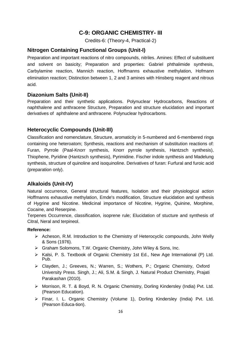## **C-9: ORGANIC CHEMISTRY- III**

Credits-6: (Theory-4, Practical-2)

## **Nitrogen Containing Functional Groups (Unit-I)**

Preparation and important reactions of nitro compounds, nitriles. Amines: Effect of substituent and solvent on basicity; Preparation and properties: Gabriel phthalimide synthesis, Carbylamine reaction, Mannich reaction, Hoffmanns exhaustive methylation, Hofmann elimination reaction; Distinction between 1, 2 and 3 amines with Hinsberg reagent and nitrous acid.

## **Diazonium Salts (Unit-II)**

Preparation and their synthetic applications. Polynuclear Hydrocarbons, Reactions of naphthalene and anthracene Structure, Preparation and structure elucidation and important derivatives of aphthalene and anthracene. Polynuclear hydrocarbons.

## **Heterocyclic Compounds (Unit-III)**

Classification and nomenclature, Structure, aromaticity in 5-numbered and 6-membered rings containing one heteroatom; Synthesis, reactions and mechanism of substitution reactions of: Furan, Pyrrole (Paal-Knorr synthesis, Knorr pyrrole synthesis, Hantzsch synthesis), Thiophene, Pyridine (Hantzsch synthesis), Pyrimidine. Fischer indole synthesis and Madelung synthesis, structure of quinoline and isoquinoline. Derivatives of furan: Furfural and furoic acid (preparation only).

## **Alkaloids (Unit-IV)**

Natural occurrence, General structural features, Isolation and their physiological action Hoffmanns exhaustive methylation, Emde's modification, Structure elucidation and synthesis of Hygrine and Nicotine. Medicinal importance of Nicotine, Hygrine, Quinine, Morphine, Cocaine, and Reserpine.

Terpenes Occurrence, classification, isoprene rule; Elucidation of stucture and synthesis of Citral, Neral and terpineol.

- $\triangleright$  Acheson, R.M. Introduction to the Chemistry of Heterocyclic compounds, John Welly & Sons (1976).
- Graham Solomons, T.W. Organic Chemistry, John Wiley & Sons, Inc.
- > Kalsi, P. S. Textbook of Organic Chemistry 1st Ed., New Age International (P) Ltd. Pub.
- Clayden, J.; Greeves, N.; Warren, S.; Wothers, P.; Organic Chemistry, Oxford University Press. Singh, J.; Ali, S.M. & Singh, J. Natural Product Chemistry, Prajati Parakashan (2010).
- Morrison, R. T. & Boyd, R. N. Organic Chemistry, Dorling Kindersley (India) Pvt. Ltd. (Pearson Education).
- Finar, I. L. Organic Chemistry (Volume 1), Dorling Kindersley (India) Pvt. Ltd. (Pearson Educa-tion).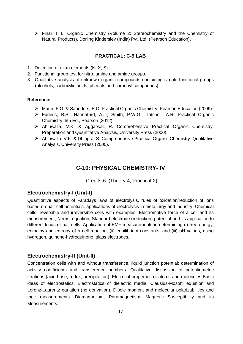Finar, I. L. Organic Chemistry (Volume 2: Stereochemistry and the Chemistry of Natural Products), Dorling Kindersley (India) Pvt. Ltd. (Pearson Education).

#### **PRACTICAL: C-9 LAB**

- 1. Detection of extra elements (N, X, S).
- 2. Functional group test for nitro, amine and amide groups.
- 3. Qualitative analysis of unknown organic compounds containing simple functional groups (alcohols, carboxylic acids, phenols and carbonyl compounds).

#### **Reference:**

- Mann, F.G. & Saunders, B.C. Practical Organic Chemistry, Pearson Education (2009).
- Furniss, B.S.; Hannaford, A.J.; Smith, P.W.G.; Tatchell, A.R. Practical Organic Chemistry, 5th Ed., Pearson (2012).
- Ahluwalia, V.K. & Aggarwal, R. Comprehensive Practical Organic Chemistry: Preparation and Quantitative Analysis, University Press (2000).
- Ahluwalia, V.K. & Dhingra, S. Comprehensive Practical Organic Chemistry: Qualitative Analysis, University Press (2000).

## **C-10: PHYSICAL CHEMISTRY- IV**

Credits-6: (Theory-4, Practical-2)

#### **Electrochemistry-I (Unit-I)**

Quantitative aspects of Faradays laws of electrolysis, rules of oxidation/reduction of ions based on half-cell potentials, applications of electrolysis in metallurgy and industry. Chemical cells, reversible and irreversible cells with examples. Electromotive force of a cell and its measurement, Nernst equation; Standard electrode (reduction) potential and its application to different kinds of half-cells. Application of EMF measurements in determining (i) free energy, enthalpy and entropy of a cell reaction, (ii) equilibrium constants, and (iii) pH values, using hydrogen, quinone-hydroquinone, glass electrodes.

#### **Electrochemistry-II (Unit-II)**

Concentration cells with and without transference, liquid junction potential; determination of activity coefficients and transference numbers. Qualitative discussion of potentiometric titrations (acid-base, redox, precipitation). Electrical properties of atoms and molecules Basic ideas of electrostatics, Electrostatics of dielectric media. Clausius-Mosotti equation and Lorenz-Laurentz equation (no derivation), Dipole moment and molecular polarizabilities and their measurements. Diamagnetism, Paramagnetism, Magnetic Susceptibility and its Measurements.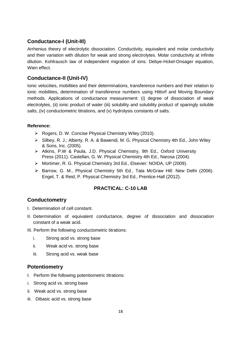## **Conductance-I (Unit-III)**

Arrhenius theory of electrolytic dissociation. Conductivity, equivalent and molar conductivity and their variation with dilution for weak and strong electrolytes. Molar conductivity at infinite dilution. Kohlrausch law of independent migration of ions. Debye-Hckel-Onsager equation, Wien effect.

## **Conductance-II (Unit-IV)**

Ionic velocities, mobilities and their determinations, transference numbers and their relation to ionic mobilities, determination of transference numbers using Hittorf and Moving Boundary methods. Applications of conductance measurement: (i) degree of dissociation of weak electrolytes, (ii) ionic product of water (iii) solubility and solubility product of sparingly soluble salts, (iv) conductometric titrations, and (v) hydrolysis constants of salts.

#### **Reference:**

- ▶ Rogers, D. W. Concise Physical Chemistry Wiley (2010).
- ▶ Silbey, R. J.; Alberty, R. A. & Bawendi, M. G. Physical Chemistry 4th Ed., John Wiley & Sons, Inc. (2005).
- Atkins, P.W & Paula, J.D. Physical Chemistry, 9th Ed., Oxford University Press (2011). Castellan, G. W. Physical Chemistry 4th Ed., Narosa (2004).
- Mortimer, R. G. Physical Chemistry 3rd Ed., Elsevier: NOIDA, UP (2009).
- $\triangleright$  Barrow, G. M., Physical Chemistry 5th Ed., Tata McGraw Hill: New Delhi (2006). Engel, T. & Reid, P. Physical Chemistry 3rd Ed., Prentice-Hall (2012).

## **PRACTICAL: C-10 LAB**

## **Conductometry**

- I. Determination of cell constant.
- II. Determination of equivalent conductance, degree of dissociation and dissociation constant of a weak acid.
- III. Perform the following conductometric titrations:
	- i. Strong acid vs. strong base
	- ii. Weak acid vs. strong base
	- iii. Strong acid vs. weak base

## **Potentiometry**

- I. Perform the following potentiometric titrations:
- i. Strong acid vs. strong base
- ii. Weak acid vs. strong base
- iii. Dibasic acid vs. strong base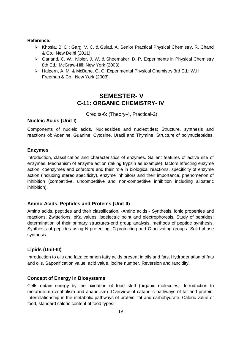#### **Reference:**

- Khosla, B. D.; Garg, V. C. & Gulati, A. Senior Practical Physical Chemistry, R. Chand & Co.: New Delhi (2011).
- Garland, C. W.; Nibler, J. W. & Shoemaker, D. P. Experiments in Physical Chemistry 8th Ed.; McGraw-Hill: New York (2003).
- $\triangleright$  Halpern, A. M. & McBane, G. C. Experimental Physical Chemistry 3rd Ed.; W.H. Freeman & Co.: New York (2003).

## **SEMESTER- V C-11: ORGANIC CHEMISTRY- IV**

Credits-6: (Theory-4, Practical-2)

#### **Nucleic Acids (Unit-I)**

Components of nucleic acids, Nucleosides and nucleotides; Structure, synthesis and reactions of: Adenine, Guanine, Cytosine, Uracil and Thymine; Structure of polynucleotides.

#### **Enzymes**

Introduction, classification and characteristics of enzymes. Salient features of active site of enzymes. Mechanism of enzyme action (taking trypsin as example), factors affecting enzyme action, coenzymes and cofactors and their role in biological reactions, specificity of enzyme action (including stereo specificity), enzyme inhibitors and their importance, phenomenon of inhibition (competitive, uncompetitive and non-competitive inhibition including allosteric inhibition).

#### **Amino Acids, Peptides and Proteins (Unit-II)**

Amino acids, peptides and their classification. -Amino acids - Synthesis, ionic properties and reactions. Zwitterions, pKa values, isoelectric point and electrophoresis. Study of peptides: determination of their primary structures-end group analysis, methods of peptide synthesis. Synthesis of peptides using N-protecting, C-protecting and C-activating groups -Solid-phase synthesis.

#### **Lipids (Unit-III)**

Introduction to oils and fats; common fatty acids present in oils and fats, Hydrogenation of fats and oils, Saponification value, acid value, iodine number. Reversion and rancidity.

#### **Concept of Energy in Biosystems**

Cells obtain energy by the oxidation of food stuff (organic molecules). Introduction to metabolism (catabolism and anabolism). Overview of catabolic pathways of fat and protein. Interrelationship in the metabolic pathways of protein, fat and carbohydrate. Caloric value of food, standard caloric content of food types.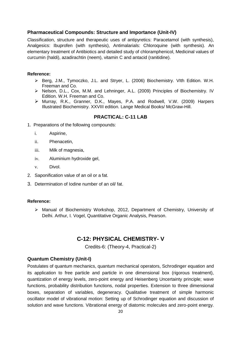### **Pharmaceutical Compounds: Structure and Importance (Unit-IV)**

Classification, structure and therapeutic uses of antipyretics: Paracetamol (with synthesis), Analgesics: Ibuprofen (with synthesis), Antimalarials: Chloroquine (with synthesis). An elementary treatment of Antibiotics and detailed study of chloramphenicol, Medicinal values of curcumin (haldi), azadirachtin (neem), vitamin C and antacid (ranitidine).

#### **Reference:**

- Berg, J.M., Tymoczko, J.L. and Stryer, L. (2006) Biochemistry. VIth Edition. W.H. Freeman and Co.
- ▶ Nelson, D.L., Cox, M.M. and Lehninger, A.L. (2009) Principles of Biochemistry. IV Edition. W.H. Freeman and Co.
- Murray, R.K., Granner, D.K., Mayes, P.A. and Rodwell, V.W. (2009) Harpers Illustrated Biochemistry. XXVIII edition. Lange Medical Books/ McGraw-Hill.

## **PRACTICAL: C-11 LAB**

- 1. Preparations of the following compounds:
	- i. Aspirine,
	- ii. Phenacetin,
	- iii. Milk of magnesia,
	- iv. Aluminium hydroxide gel,
	- v. Divol.
- 2. Saponification value of an oil or a fat.
- 3. Determination of Iodine number of an oil/ fat.

#### **Reference:**

 $\triangleright$  Manual of Biochemistry Workshop, 2012, Department of Chemistry, University of Delhi. Arthur, I. Vogel, Quantitative Organic Analysis, Pearson.

## **C-12: PHYSICAL CHEMISTRY- V**

Credits-6: (Theory-4, Practical-2)

#### **Quantum Chemistry (Unit-I)**

Postulates of quantum mechanics, quantum mechanical operators, Schrodinger equation and its application to free particle and particle in one dimensional box (rigorous treatment), quantization of energy levels, zero-point energy and Heisenberg Uncertainty principle; wave functions, probability distribution functions, nodal properties. Extension to three dimensional boxes, separation of variables, degeneracy. Qualitative treatment of simple harmonic oscillator model of vibrational motion: Setting up of Schrodinger equation and discussion of solution and wave functions. Vibrational energy of diatomic molecules and zero-point energy.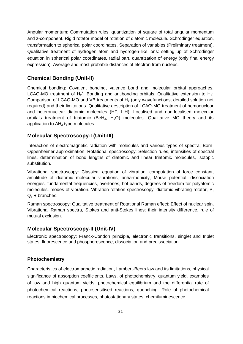Angular momentum: Commutation rules, quantization of square of total angular momentum and z-component. Rigid rotator model of rotation of diatomic molecule. Schrodinger equation, transformation to spherical polar coordinates. Separation of variables (Preliminary treatment). Qualitative treatment of hydrogen atom and hydrogen-like ions: setting up of Schrodinger equation in spherical polar coordinates, radial part, quantization of energy (only final energy expression). Average and most probable distances of electron from nucleus.

## **Chemical Bonding (Unit-II)**

Chemical bonding: Covalent bonding, valence bond and molecular orbital approaches, LCAO-MO treatment of  $H_2^+$ : Bonding and antibonding orbitals. Qualitative extension to  $H_2$ : Comparison of LCAO-MO and VB treatments of  $H_2$  (only wavefunctions, detailed solution not required) and their limitations. Qualitative description of LCAO-MO treatment of homonuclear and heteronuclear diatomic molecules (HF, LiH). Localised and non-localised molecular orbitals treatment of triatomic (BeH<sub>2</sub>, H<sub>2</sub>O) molecules. Qualitative MO theory and its application to AH<sub>2</sub> type molecules

## **Molecular Spectroscopy-I (Unit-III)**

Interaction of electromagnetic radiation with molecules and various types of spectra; Born-Oppenheimer approximation. Rotational spectroscopy: Selection rules, intensities of spectral lines, determination of bond lengths of diatomic and linear triatomic molecules, isotopic substitution.

Vibrational spectroscopy: Classical equation of vibration, computation of force constant, amplitude of diatomic molecular vibrations, anharmonicity, Morse potential, dissociation energies, fundamental frequencies, overtones, hot bands, degrees of freedom for polyatomic molecules, modes of vibration. Vibration-rotation spectroscopy: diatomic vibrating rotator, P, Q, R branches.

Raman spectroscopy: Qualitative treatment of Rotational Raman effect; Effect of nuclear spin, Vibrational Raman spectra, Stokes and anti-Stokes lines; their intensity difference, rule of mutual exclusion.

#### **Molecular Spectroscopy-II (Unit-IV)**

Electronic spectroscopy: Franck-Condon principle, electronic transitions, singlet and triplet states, fluorescence and phosphorescence, dissociation and predissociation.

#### **Photochemistry**

Characteristics of electromagnetic radiation, Lambert-Beers law and its limitations, physical significance of absorption coefficients. Laws, of photochemistry, quantum yield, examples of low and high quantum yields, photochemical equilibrium and the differential rate of photochemical reactions, photosensitised reactions, quenching. Role of photochemical reactions in biochemical processes, photostationary states, chemiluminescence.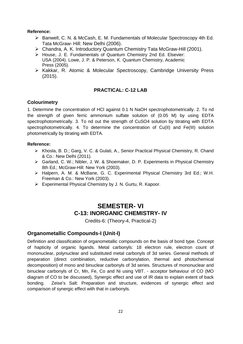#### **Reference:**

- ▶ Banwell, C. N. & McCash, E. M. Fundamentals of Molecular Spectroscopy 4th Ed. Tata McGraw- Hill: New Delhi (2006).
- ▶ Chandra, A. K. Introductory Quantum Chemistry Tata McGraw-Hill (2001).
- House, J. E. Fundamentals of Quantum Chemistry 2nd Ed. Elsevier: USA (2004). Lowe, J. P. & Peterson, K. Quantum Chemistry, Academic Press (2005).
- $\triangleright$  Kakkar, R. Atomic & Molecular Spectroscopy, Cambridge University Press (2015).

#### **PRACTICAL: C-12 LAB**

#### **Colourimetry**

1. Determine the concentration of HCl against 0.1 N NaOH spectrophotometrically. 2. To nd the strength of given ferric ammonium sulfate solution of (0.05 M) by using EDTA spectrophotometrically. 3. To nd out the strength of CuSO4 solution by titrating with EDTA spectrophotometrically. 4. To determine the concentration of Cu(II) and Fe(III) solution photometrically by titrating with EDTA.

#### **Reference:**

- ▶ Khosla, B. D.; Garg, V. C. & Gulati, A., Senior Practical Physical Chemistry, R. Chand & Co.: New Delhi (2011).
- Garland, C. W.; Nibler, J. W. & Shoemaker, D. P. Experiments in Physical Chemistry 8th Ed.; McGraw-Hill: New York (2003).
- Halpern, A. M. & McBane, G. C. Experimental Physical Chemistry 3rd Ed.; W.H. Freeman & Co.: New York (2003).
- Experimental Physical Chemistry by J. N. Gurtu, R. Kapoor.

## **SEMESTER- VI C-13: INORGANIC CHEMISTRY- IV**

Credits-6: (Theory-4, Practical-2)

#### **Organometallic Compounds-I (Unit-I)**

Definition and classification of organometallic compounds on the basis of bond type. Concept of hapticity of organic ligands. Metal carbonyls: 18 electron rule, electron count of mononuclear, polynuclear and substituted metal carbonyls of 3d series. General methods of preparation (direct combination, reductive carbonylation, thermal and photochemical decomposition) of mono and binuclear carbonyls of 3d series. Structures of mononuclear and binuclear carbonyls of Cr, Mn, Fe, Co and Ni using VBT. - acceptor behaviour of CO (MO diagram of CO to be discussed), Synergic effect and use of IR data to explain extent of back bonding. Zeise's Salt: Preparation and structure, evidences of synergic effect and comparison of synergic effect with that in carbonyls.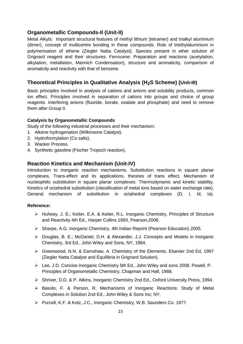#### **Organometallic Compounds-II (Unit-II)**

Metal Alkyls: Important structural features of methyl lithium (tetramer) and trialkyl aluminium (dimer), concept of multicentre bonding in these compounds. Role of triethylaluminium in polymerisation of ethene (Ziegler Natta Catalyst). Species present in ether solution of Grignard reagent and their structures. Ferrocene: Preparation and reactions (acetylation, alkylation, metallation, Mannich Condensation), structure and aromaticity, comparison of aromaticity and reactivity with that of benzene.

#### **Theoretical Principles in Qualitative Analysis (H2S Scheme) (Unit-III)**

Basic principles involved in analysis of cations and anions and solubility products, common ion effect. Principles involved in separation of cations into groups and choice of group reagents. Interfering anions (fluoride, borate, oxalate and phosphate) and need to remove them after Group II.

#### **Catalysis by Organometallic Compounds**

Study of the following industrial processes and their mechanism:

- 1. Alkene hydrogenation (Wilkinsons Catalyst).
- 2. Hydroformylation (Co salts).
- 3. Wacker Process.
- 4. Synthetic gasoline (Fischer Tropsch reaction).

#### **Reaction Kinetics and Mechanism (Unit-IV)**

Introduction to inorganic reaction mechanisms. Substitution reactions in square planar complexes, Trans-effect and its applications, theories of trans effect, Mechanism of nucleophilic substitution in square planar complexes. Thermodynamic and kinetic stability, Kinetics of octahedral substitution (classification of metal ions based on water exchange rate), General mechanism of substitution in octahedral complexes (D, I, Id, Ia).

- Huheey, J. E.; Keiter, E.A. & Keiter, R.L. Inorganic Chemistry, Principles of Structure and Reactivity 4th Ed., Harper Collins 1993, Pearson,2006.
- Sharpe, A.G. Inorganic Chemistry, 4th Indian Reprint (Pearson Education) 2005.
- Douglas, B. E.; McDaniel, D.H. & Alexander, J.J. Concepts and Models in Inorganic Chemistry, 3rd Ed., John Wiley and Sons, NY, 1994.
- Greenwood, N.N. & Earnshaw, A. Chemistry of the Elements, Elsevier 2nd Ed, 1997 (Ziegler Natta Catalyst and Equilibria in Grignard Solution).
- Lee, J.D. Concise Inorganic Chemistry 5th Ed., John Wiley and sons 2008. Powell, P. Principles of Organometallic Chemistry, Chapman and Hall, 1988.
- Shriver, D.D. & P. Atkins, Inorganic Chemistry 2nd Ed., Oxford University Press, 1994.
- ▶ Basolo, F. & Person, R. Mechanisms of Inorganic Reactions: Study of Metal Complexes in Solution 2nd Ed., John Wiley & Sons Inc; NY.
- ▶ Purcell, K.F. & Kotz, J.C., Inorganic Chemistry, W.B. Saunders Co. 1977.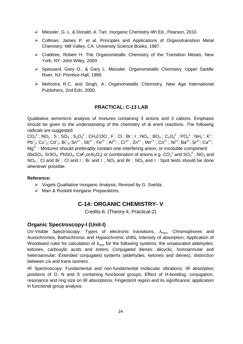- Miessler, G. L. & Donald, A. Tarr, Inorganic Chemistry 4th Ed., Pearson, 2010.
- Collman, James P. et al. Principles and Applications of Organotransition Metal Chemistry. Mill Valley, CA: University Science Books, 1987.
- $\triangleright$  Crabtree, Robert H. The Organometallic Chemistry of the Transition Metals, New York, NY: John Wiley, 2000.
- Spessard, Gary O., & Gary L. Miessler. Organometallic Chemistry. Upper Saddle River, NJ: Prentice-Hall, 1996.
- Mehrotra R.C. and Singh, A. Organometallic Chemistry, New Age International Publishers, 2nd Edn, 2000.

#### **PRACTICAL: C-13 LAB**

Qualitative semimicro analysis of mixtures containing 3 anions and 3 cations. Emphasis should be given to the understanding of the chemistry of di erent reactions. The following radicals are suggested:

 $CO_3^2$ ; NO<sub>2</sub>; S; SO<sub>3</sub>; S<sub>2</sub>O<sub>3</sub><sup>2</sup>; CH<sub>3</sub>COO; F; CI; Br; I; NO<sub>3</sub>; BO<sub>3</sub>; C<sub>2</sub>O<sub>4</sub><sup>2</sup>; PO<sub>4</sub><sup>3</sup>; NH<sub>4</sub><sup>+</sup>; K<sup>+</sup>;  $Pb^{+}_{2}$ ; Cu<sup>+</sup><sub>2</sub>; Cd<sup>+</sup><sub>2</sub>; Bi<sup>+</sup><sub>3</sub>; Sn<sup>2+</sup>; Sb<sup>3+</sup>; Fe<sup>3+</sup>; Al<sup>3+</sup>; ; Cr<sup>3+</sup>; Zn<sup>2+</sup>; Mn<sup>2+</sup>; Co<sup>2+</sup>; Ni<sup>2+</sup>; Ba<sup>2+</sup>; Sr<sup>2+</sup>; Ca<sup>2+</sup>;  $Mg^{2+}$ : Mixtures should preferably contain one interfering anion, or insoluble component (BaSO<sub>4</sub>; SrSO<sub>4</sub>; PbSO<sub>4</sub>; CaF<sub>2</sub>orAl<sub>2</sub>O<sub>3</sub>) or combination of anions e.g. CO<sub>3</sub><sup>2</sup> and SO<sub>3</sub><sup>2</sup>; NO<sub>2</sub> and  $NO<sub>3</sub>$ ; Cl and Br; Cl and I; Br and I;  $NO<sub>3</sub>$  and Br;  $NO<sub>3</sub>$  and I: Spot tests should be done whenever possible.

#### **Reference:**

- $\triangleright$  Vogels Qualitative Inorganic Analysis, Revised by G. Svehla.
- > Marr & Rockett Inorganic Preparations.

## **C-14: ORGANIC CHEMISTRY- V**

Credits-6: (Theory-4, Practical-2)

#### **Organic Spectroscopy-I (Unit-I)**

UV-Visible Spectroscopy: Types of electronic transitions,  $\lambda_{\text{max}}$ , Chromophores and Auxochromes, Bathochromic and Hypsochromic shifts, Intensity of absorption; Application of Woodward rules for calculation of  $\lambda_{\text{max}}$  for the following systems: the unsaturated aldehydes: ketones, carboxylic acids and esters; Conjugated dienes: alicyclic, homoannular and heteroannular; Extended conjugated systems (aldehydes, ketones and dienes); distinction between cis and trans isomers.

IR Spectroscopy: Fundamental and non-fundamental molecular vibrations; IR absorption positions of O, N and S containing functional groups; Effect of H-bonding, conjugation, resonance and ring size on IR absorptions; Fingerprint region and its significance; application in functional group analysis.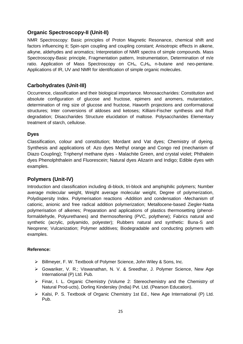#### **Organic Spectroscopy-II (Unit-II)**

NMR Spectroscopy: Basic principles of Proton Magnetic Resonance, chemical shift and factors influencing it; Spin-spin coupling and coupling constant; Anisotropic effects in alkene, alkyne, aldehydes and aromatics; Interpretation of NMR spectra of simple compounds. Mass Spectroscopy-Basic principle, Fragmentation pattern, Instrumentation, Determination of m/e ratio. Application of Mass Spectroscopy on  $CH_4$ ,  $C_2H_6$ , n-butane and neo-pentane. Applications of IR, UV and NMR for identification of simple organic molecules.

## **Carbohydrates (Unit-III)**

Occurrence, classification and their biological importance. Monosaccharides: Constitution and absolute configuration of glucose and fructose, epimers and anomers, mutarotation, determination of ring size of glucose and fructose, Haworth projections and conformational structures; Inter conversions of aldoses and ketoses; Killiani-Fischer synthesis and Ruff degradation; Disaccharides Structure elucidation of maltose. Polysaccharides Elementary treatment of starch, cellulose.

#### **Dyes**

Classification, colour and constitution; Mordant and Vat dyes; Chemistry of dyeing. Synthesis and applications of: Azo dyes Methyl orange and Congo red (mechanism of Diazo Coupling); Triphenyl methane dyes - Malachite Green, and crystal violet; Phthalein dyes Phenolphthalein and Fluorescein; Natural dyes Alizarin and Indigo; Edible dyes with examples.

#### **Polymers (Unit-IV)**

Introduction and classification including di-block, tri-block and amphiphilic polymers; Number average molecular weight, Weight average molecular weight, Degree of polymerization, Polydispersity Index. Polymerisation reactions -Addition and condensation -Mechanism of cationic, anionic and free radical addition polymerization; Metallocene-based Ziegler-Natta polymerisation of alkenes; Preparation and applications of plastics thermosetting (phenolformaldehyde, Polyurethanes) and thermosoftening (PVC, polythene); Fabrics natural and synthetic (acrylic, polyamido, polyester); Rubbers natural and synthetic: Buna-S and Neoprene; Vulcanization; Polymer additives; Biodegradable and conducting polymers with examples.

- Billmeyer, F. W. Textbook of Polymer Science, John Wiley & Sons, Inc.
- Gowariker, V. R.; Viswanathan, N. V. & Sreedhar, J. Polymer Science, New Age International (P) Ltd. Pub.
- Finar, I. L. Organic Chemistry (Volume 2: Stereochemistry and the Chemistry of Natural Prod-ucts), Dorling Kindersley (India) Pvt. Ltd. (Pearson Education).
- > Kalsi, P. S. Textbook of Organic Chemistry 1st Ed., New Age International (P) Ltd. Pub.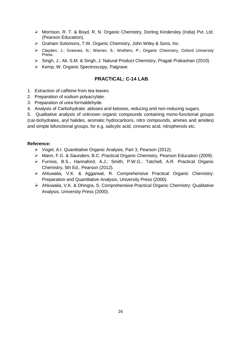- Morrison, R. T. & Boyd, R. N. Organic Chemistry, Dorling Kindersley (India) Pvt. Ltd. (Pearson Education).
- Graham Solomons, T.W. Organic Chemistry, John Wiley & Sons, Inc.
- Clayden, J.; Greeves, N.; Warren, S.; Wothers, P.; Organic Chemistry, Oxford University Press.
- Singh, J.; Ali, S.M. & Singh, J. Natural Product Chemistry, Pragati Prakashan (2010).
- $\triangleright$  Kemp, W. Organic Spectroscopy, Palgrave.

## **PRACTICAL: C-14 LAB**.

- 1. Extraction of caffeine from tea leaves.
- 2. Preparation of sodium polyacrylate.
- 3. Preparation of urea formaldehyde.
- 4. Analysis of Carbohydrate: aldoses and ketoses, reducing and non-reducing sugars.

5. Qualitative analysis of unknown organic compounds containing mono-functional groups (car-bohydrates, aryl halides, aromatic hydrocarbons, nitro compounds, amines and amides) and simple bifunctional groups, for e.g. salicylic acid, cinnamic acid, nitrophenols etc.

- Vogel, A.I. Quantitative Organic Analysis, Part 3, Pearson (2012).
- Mann, F.G. & Saunders, B.C. Practical Organic Chemistry, Pearson Education (2009).
- Furniss, B.S., Hannaford, A.J.; Smith, P.W.G.; Tatchell, A.R. Practical Organic Chemistry, 5th Ed., Pearson (2012).
- Ahluwalia, V.K. & Aggarwal, R. Comprehensive Practical Organic Chemistry: Preparation and Quantitative Analysis, University Press (2000).
- Ahluwalia, V.K. & Dhingra, S. Comprehensive Practical Organic Chemistry: Qualitative Analysis, University Press (2000).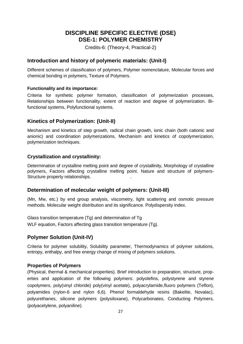## **DISCIPLINE SPECIFIC ELECTIVE (DSE) DSE-1: POLYMER CHEMISTRY**

Credits-6: (Theory-4, Practical-2)

## **Introduction and history of polymeric materials: (Unit-I)**

Different schemes of classification of polymers, Polymer nomenclature, Molecular forces and chemical bonding in polymers, Texture of Polymers.

#### **Functionality and its importance:**

Criteria for synthetic polymer formation, classification of polymerization processes, Relationships between functionality, extent of reaction and degree of polymerization. Bifunctional systems, Polyfunctional systems.

## **Kinetics of Polymerization: (Unit-II)**

Mechanism and kinetics of step growth, radical chain growth, ionic chain (both cationic and anionic) and coordination polymerizations, Mechanism and kinetics of copolymerization, polymerization techniques.

## **Crystallization and crystallinity:**

Determination of crystalline melting point and degree of crystallinity, Morphology of crystalline polymers, Factors affecting crystalline melting point. Nature and structure of polymers-Structure property relationships. .

## **Determination of molecular weight of polymers: (Unit-III)**

(Mn, Mw, etc.) by end group analysis, viscometry, light scattering and osmotic pressure methods. Molecular weight distribution and its significance. Polydispersity index.

Glass transition temperature (Tg) and determination of Tg WLF equation, Factors affecting glass transition temperature (Tg).

## **Polymer Solution (Unit-IV)**

Criteria for polymer solubility, Solubility parameter, Thermodynamics of polymer solutions, entropy, enthalpy, and free energy change of mixing of polymers solutions.

## **Properties of Polymers**

(Physical, thermal & mechanical properties). Brief introduction to preparation, structure, properties and application of the following polymers: polyolefins, polystyrene and styrene copolymers, poly(vinyl chloride) poly(vinyl acetate), polyacrylamide,fluoro polymers (Teflon), polyamides (nylon-6 and nylon 6,6). Phenol formaldehyde resins (Bakelite, Novalac), polyurethanes, silicone polymers (polysiloxane), Polycarbonates, Conducting Polymers, (polyacetylene, polyaniline).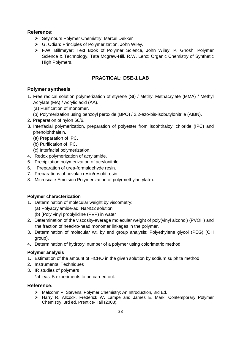#### **Reference:**

- ▶ Seymours Polymer Chemistry, Marcel Dekker
- ▶ G. Odian: Principles of Polymerization, John Wiley.
- F.W. Billmeyer: Text Book of Polymer Science, John Wiley. P. Ghosh: Polymer Science & Technology, Tata Mcgraw-Hill. R.W. Lenz: Organic Chemistry of Synthetic High Polymers.

## **PRACTICAL: DSE-1 LAB**

## **Polymer synthesis**

- 1. Free radical solution polymerization of styrene (St) / Methyl Methacrylate (MMA) / Methyl Acrylate (MA) / Acrylic acid (AA).
	- (a) Purification of monomer.
	- (b) Polymerization using benzoyl peroxide (BPO) / 2,2-azo-bis-isobutylonitrile (AIBN).
- 2. Preparation of nylon 66/6.
- 3. Interfacial polymerization, preparation of polyester from isophthaloyl chloride (IPC) and phenolphthalein.
	- (a) Preparation of IPC.
	- (b) Purification of IPC.
	- (c) Interfacial polymerization.
- 4. Redox polymerization of acrylamide.
- 5. Precipitation polymerization of acrylonitrile.
- 6. Preparation of urea-formaldehyde resin.
- 7. Preparations of novalac resin/resold resin.
- 8. Microscale Emulsion Polymerization of poly(methylacrylate).

#### **Polymer characterization**

- 1. Determination of molecular weight by viscometry:
	- (a) Polyacrylamide-aq. NaNO2 solution
	- (b) (Poly vinyl proplylidine (PVP) in water
- 2. Determination of the viscosity-average molecular weight of poly(vinyl alcohol) (PVOH) and the fraction of head-to-head monomer linkages in the polymer.
- 3. Determination of molecular wt. by end group analysis: Polyethylene glycol (PEG) (OH group).
- 4. Determination of hydroxyl number of a polymer using colorimetric method.

#### **Polymer analysis**

- 1. Estimation of the amount of HCHO in the given solution by sodium sulphite method
- 2. Instrumental Techniques
- 3. IR studies of polymers

\*at least 5 experiments to be carried out.

- Malcohm P. Stevens, Polymer Chemistry: An Introduction, 3rd Ed.
- $\triangleright$  Harry R. Allcock, Frederick W. Lampe and James E. Mark, Contemporary Polymer Chemistry, 3rd ed. Prentice-Hall (2003).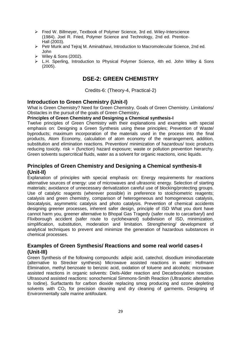- Fred W. Billmeyer, Textbook of Polymer Science, 3rd ed. Wiley-Interscience (1984). Joel R. Fried, Polymer Science and Technology, 2nd ed. Prentice-Hall (2003).
- Petr Munk and Tejraj M. Aminabhavi, Introduction to Macromolecular Science, 2nd ed. John
- $\triangleright$  Wiley & Sons (2002).
- $\triangleright$  L.H. Sperling, Introduction to Physical Polymer Science, 4th ed. John Wiley & Sons (2005).

## **DSE-2: GREEN CHEMISTRY**

Credits-6: (Theory-4, Practical-2)

#### **Introduction to Green Chemistry (Unit-I)**

What is Green Chemistry? Need for Green Chemistry. Goals of Green Chemistry. Limitations/ Obstacles in the pursuit of the goals of Green Chemistry.

#### **Principles of Green Chemistry and Designing a Chemical synthesis-I**

Twelve principles of Green Chemistry with their explanations and examples with special emphasis on: Designing a Green Synthesis using these principles; Prevention of Waste/ byproducts; maximum incorporation of the materials used in the process into the final products, Atom Economy, calculation of atom economy of the rearrangement, addition, substitution and elimination reactions. Prevention/ minimization of hazardous/ toxic products reducing toxicity. risk = (function) hazard exposure; waste or pollution prevention hierarchy. Green solvents supercritical fluids, water as a solvent for organic reactions, ionic liquids.

## **Principles of Green Chemistry and Designing a Chemical synthesis-II (Unit-II)**

Explanation of principles with special emphasis on: Energy requirements for reactions alternative sources of energy: use of microwaves and ultrasonic energy. Selection of starting materials; avoidance of unnecessary derivatization careful use of blocking/protecting groups. Use of catalytic reagents (wherever possible) in preference to stoichiometric reagents; catalysis and green chemistry, comparison of heterogeneous and homogeneous catalysis, biocatalysis, asymmetric catalysis and photo catalysis. Prevention of chemical accidents designing greener processes, inherent safer design, principle of ISD What you dont have cannot harm you, greener alternative to Bhopal Gas Tragedy (safer route to carcarbaryl) and Flixiborough accident (safer route to cyclohexanol) subdivision of ISD, minimization, simplification, substitution, moderation and limitation. Strengthening/ development of analytical techniques to prevent and minimize the generation of hazardous substances in chemical processes.

## **Examples of Green Synthesis/ Reactions and some real world cases-I (Unit-III)**

Green Synthesis of the following compounds: adipic acid, catechol, disodium iminodiacetate (alternative to Strecker synthesis) Microwave assisted reactions in water: Hofmann Elimination, methyl benzoate to benzoic acid, oxidation of toluene and alcohols; microwave assisted reactions in organic solvents: Diels-Alder reaction and Decarboxylation reaction. Ultrasound assisted reactions: sonochemical Simmons-Smith Reaction (Ultrasonic alternative to Iodine). Surfactants for carbon dioxide replacing smog producing and ozone depleting solvents with  $CO<sub>2</sub>$  for precision cleaning and dry cleaning of garments. Designing of Environmentally safe marine antifoulant.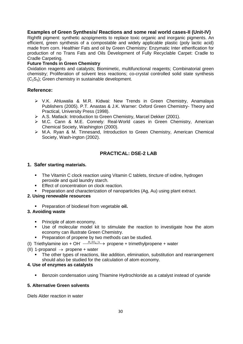#### **Examples of Green Synthesis/ Reactions and some real world cases-II (Unit-IV)**

Rightfit pigment: synthetic azopigments to replace toxic organic and inorganic pigments. An efficient, green synthesis of a compostable and widely applicable plastic (poly lactic acid) made from corn. Healthier Fats and oil by Green Chemistry: Enzymatic Inter etherification for production of no Trans Fats and Oils Development of Fully Recyclable Carpet: Cradle to Cradle Carpeting.

#### **Future Trends in Green Chemistry**

Oxidation reagents and catalysts; Biomimetic, multifunctional reagents; Combinatorial green chemistry; Proliferation of solvent less reactions; co-crystal controlled solid state synthesis  $(C_2S_3)$ : Green chemistry in sustainable development.

#### **Reference:**

- V.K. Ahluwalia & M.R. Kidwai: New Trends in Green Chemistry, Anamalaya Publishers (2005). P.T. Anastas & J.K. Warner: Oxford Green Chemistry- Theory and Practical, University Press (1998).
- A.S. Matlack: Introduction to Green Chemistry, Marcel Dekker (2001).
- M.C. Cann & M.E. Connely: Real-World cases in Green Chemistry, American Chemical Society, Washington (2000).
- M.A. Ryan & M. Tinnesand, Introduction to Green Chemistry, American Chemical Society, Wash-ington (2002).

## **PRACTICAL: DSE-2 LAB**

#### **1. Safer starting materials.**

- **The Vitamin C clock reaction using Vitamin C tablets, tincture of iodine, hydrogen** peroxide and quid laundry starch.
- **Effect of concentration on clock reaction.**
- **Preparation and characterization of nanoparticles (Ag, Au) using plant extract.**

#### **2. Using renewable resources**

**Preparation of biodiesel from vegetable oil.** 

#### **3. Avoiding waste**

- Principle of atom economy.
- Use of molecular model kit to stimulate the reaction to investigate how the atom economy can illustrate Green Chemistry.
- **Preparation of propene by two methods can be studied.**
- (I) Triethylamine ion + OH<sup>-</sup>  $\frac{H_2SO_4/\Delta}{\Delta}$  propene + trimethylpropene + water
- (II) 1-propanol  $\rightarrow$  propene + water
	- The other types of reactions, like addition, elimination, substitution and rearrangement should also be studied for the calculation of atom economy.

#### **4. Use of enzymes as catalysts**

**Benzoin condensation using Thiamine Hydrochloride as a catalyst instead of cyanide** 

#### **5. Alternative Green solvents**

Diels Alder reaction in water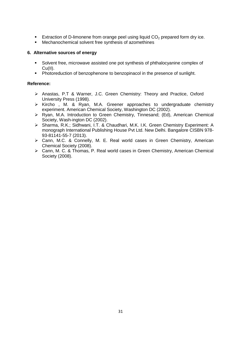- Extraction of D-limonene from orange peel using liquid  $CO<sub>2</sub>$  prepared form dry ice.
- Mechanochemical solvent free synthesis of azomethines

#### **6. Alternative sources of energy**

- Solvent free, microwave assisted one pot synthesis of phthalocyanine complex of Cu(II).
- **Photoreduction of benzophenone to benzopinacol in the presence of sunlight.**

- Anastas, P.T & Warner, J.C. Green Chemistry: Theory and Practice, Oxford University Press (1998).
- $\triangleright$  Kircho, M. & Ryan, M.A. Greener approaches to undergraduate chemistry experiment. American Chemical Society, Washington DC (2002).
- Ryan, M.A. Introduction to Green Chemistry, Tinnesand; (Ed), American Chemical Society, Wash-ington DC (2002).
- Sharma, R.K.; Sidhwani, I.T. & Chaudhari, M.K. I.K. Green Chemistry Experiment: A monograph International Publishing House Pvt Ltd. New Delhi. Bangalore CISBN 978- 93-81141-55-7 (2013).
- Cann, M.C. & Connelly, M. E. Real world cases in Green Chemistry, American Chemical Society (2008).
- Cann, M. C. & Thomas, P. Real world cases in Green Chemistry, American Chemical Society (2008).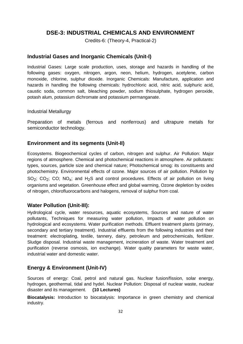## **DSE-3: INDUSTRIAL CHEMICALS AND ENVIRONMENT**

Credits-6: (Theory-4, Practical-2)

#### **Industrial Gases and Inorganic Chemicals (Unit-I)**

Industrial Gases: Large scale production, uses, storage and hazards in handling of the following gases: oxygen, nitrogen, argon, neon, helium, hydrogen, acetylene, carbon monoxide, chlorine, sulphur dioxide. Inorganic Chemicals: Manufacture, application and hazards in handling the following chemicals: hydrochloric acid, nitric acid, sulphuric acid, caustic soda, common salt, bleaching powder, sodium thiosulphate, hydrogen peroxide, potash alum, potassium dichromate and potassium permanganate.

#### Industrial Metallurgy

Preparation of metals (ferrous and nonferrous) and ultrapure metals for semiconductor technology.

#### **Environment and its segments (Unit-II)**

Ecosystems. Biogeochemical cycles of carbon, nitrogen and sulphur. Air Pollution: Major regions of atmosphere. Chemical and photochemical reactions in atmosphere. Air pollutants: types, sources, particle size and chemical nature; Photochemical smog: its constituents and photochemistry. Environmental effects of ozone. Major sources of air pollution. Pollution by SO<sub>2</sub>; CO<sub>2</sub>; CO; NO<sub>x</sub>; and H<sub>2</sub>S and control procedures. Effects of air pollution on living organisms and vegetation. Greenhouse effect and global warming, Ozone depletion by oxides of nitrogen, chlorofluorocarbons and halogens, removal of sulphur from coal.

#### **Water Pollution (Unit-III):**

Hydrological cycle, water resources, aquatic ecosystems, Sources and nature of water pollutants, Techniques for measuring water pollution, Impacts of water pollution on hydrological and ecosystems. Water purification methods. Effluent treatment plants (primary, secondary and tertiary treatment). Industrial effluents from the following industries and their treatment: electroplating, textile, tannery, dairy, petroleum and petrochemicals, fertilizer. Sludge disposal. Industrial waste management, incineration of waste. Water treatment and purification (reverse osmosis, ion exchange). Water quality parameters for waste water, industrial water and domestic water.

#### **Energy & Environment (Unit-IV)**

Sources of energy: Coal, petrol and natural gas. Nuclear fusion/fission, solar energy, hydrogen, geothermal, tidal and hydel. Nuclear Pollution: Disposal of nuclear waste, nuclear disaster and its management. **(10 Lectures)**

**Biocatalysis:** Introduction to biocatalysis: Importance in green chemistry and chemical industry.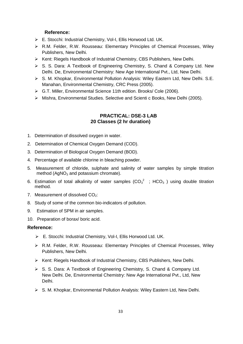#### **Reference:**

- E. Stocchi: Industrial Chemistry, Vol-I, Ellis Horwood Ltd. UK.
- R.M. Felder, R.W. Rousseau: Elementary Principles of Chemical Processes, Wiley Publishers, New Delhi.
- ▶ Kent: Riegels Handbook of Industrial Chemistry, CBS Publishers, New Delhi.
- S. S. Dara: A Textbook of Engineering Chemistry, S. Chand & Company Ltd. New Delhi. De, Environmental Chemistry: New Age International Pvt., Ltd, New Delhi.
- S. M. Khopkar, Environmental Pollution Analysis: Wiley Eastern Ltd, New Delhi. S.E. Manahan, Environmental Chemistry, CRC Press (2005).
- G.T. Miller, Environmental Science 11th edition. Brooks/ Cole (2006).
- Mishra, Environmental Studies. Selective and Scienti c Books, New Delhi (2005).

#### **PRACTICAL: DSE-3 LAB 20 Classes (2 hr duration)**

- 1. Determination of dissolved oxygen in water.
- 2. Determination of Chemical Oxygen Demand (COD).
- 3. Determination of Biological Oxygen Demand (BOD).
- 4. Percentage of available chlorine in bleaching powder.
- 5. Measurement of chloride, sulphate and salinity of water samples by simple titration method  $(AgNO<sub>3</sub>$  and potassium chromate).
- 6. Estimation of total alkalinity of water samples  $(CO_3^2$ ; HCO<sub>3</sub>) using double titration method.
- 7. Measurement of dissolved  $CO<sub>2</sub>$ :
- 8. Study of some of the common bio-indicators of pollution.
- 9. Estimation of SPM in air samples.
- 10. Preparation of borax/ boric acid.

- E. Stocchi: Industrial Chemistry, Vol-I, Ellis Horwood Ltd. UK.
- R.M. Felder, R.W. Rousseau: Elementary Principles of Chemical Processes, Wiley Publishers, New Delhi.
- $\triangleright$  Kent: Riegels Handbook of Industrial Chemistry, CBS Publishers, New Delhi.
- $\triangleright$  S. S. Dara: A Textbook of Engineering Chemistry, S. Chand & Company Ltd. New Delhi. De, Environmental Chemistry: New Age International Pvt., Ltd, New Delhi.
- $\triangleright$  S. M. Khopkar, Environmental Pollution Analysis: Wiley Eastern Ltd, New Delhi.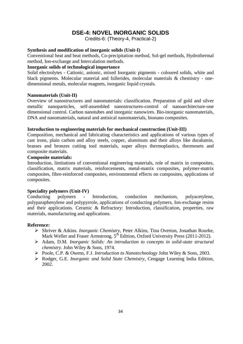## **DSE-4: NOVEL INORGANIC SOLIDS**

Credits-6: (Theory-4, Practical-2)

#### **Synthesis and modification of inorganic solids (Unit-I)**

Conventional heat and beat methods, Co-precipitation method, Sol-gel methods, Hydrothermal method, Ion-exchange and Intercalation methods.

#### **Inorganic solids of technological importance**

Solid electrolytes - Cationic, anionic, mixed Inorganic pigments - coloured solids, white and black pigments. Molecular material and fullerides, molecular materials & chemistry - onedimensional metals, molecular magnets, inorganic liquid crystals.

#### **Nanomaterials (Unit-II)**

Overview of nanostructures and nanomaterials: classification. Preparation of gold and silver metallic nanoparticles, self-assembled nanostructures-control of nanoarchitecture-one dimensional control. Carbon nanotubes and inorganic nanowires. Bio-inorganic nanomaterials, DNA and nanomaterials, natural and antisical nanomaterials, bionano composites.

#### **Introduction to engineering materials for mechanical construction (Unit-III)**

Composition, mechanical and fabricating characteristics and applications of various types of cast irons, plain carbon and alloy steels, copper, aluminum and their alloys like duralumin, brasses and bronzes cutting tool materials, super alloys thermoplastics, thermosets and composite materials.

#### **Composite materials:**

Introduction, limitations of conventional engineering materials, role of matrix in composites, classification, matrix materials, reinforcements, metal-matrix composites, polymer-matrix composites, fibre-reinforced composites, environmental effects on composites, applications of composites.

#### **Speciality polymers (Unit-IV)**

Conducting polymers - Introduction, conduction mechanism, polyacetylene, polyparaphenylene and polypyrrole, applications of conducting polymers, Ion-exchange resins and their applications. Ceramic & Refractory: Introduction, classification, properties, raw materials, manufacturing and applications.

- Shriver & Atkins. *Inorganic Chemistry,* Peter Alkins, Tina Overton, Jonathan Rourke, Mark Weller and Fraser Armstrong, 5<sup>th</sup> Edition, Oxford University Press (2011-2012).
- Adam, D.M. *Inorganic Solids: An introduction to concepts in solid-state structural chemistry.* John Wiley & Sons, 1974.
- Poole, C.P. & Owens, F.J. *Introduction to Nanotechnology* John Wiley & Sons, 2003.
- Rodger, G.E. *Inorganic and Solid State Chemistry,* Cengage Learning India Edition, 2002.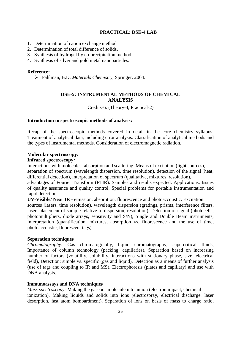#### **PRACTICAL: DSE-4 LAB**

- 1. Determination of cation exchange method
- 2. Determination of total difference of solids.
- 3. Synthesis of hydrogel by co-precipitation method.
- 4. Synthesis of silver and gold metal nanoparticles.

#### **Reference:**

Fahlman, B.D. *Materials Chemistry,* Springer, 2004.

#### **DSE-5: INSTRUMENTAL METHODS OF CHEMICAL ANALYSIS**

Credits-6: (Theory-4, Practical-2)

#### **Introduction to spectroscopic methods of analysis:**

Recap of the spectroscopic methods covered in detail in the core chemistry syllabus: Treatment of analytical data, including error analysis. Classification of analytical methods and the types of instrumental methods. Consideration of electromagnetic radiation.

#### **Molecular spectroscopy:**

#### **Infrared spectroscopy***:*

Interactions with molecules: absorption and scattering. Means of excitation (light sources), separation of spectrum (wavelength dispersion, time resolution), detection of the signal (heat,

differential detection), interpretation of spectrum (qualitative, mixtures, resolution),

advantages of Fourier Transform (FTIR). Samples and results expected. Applications: Issues of quality assurance and quality control, Special problems for portable instrumentation and rapid detection.

**UV-Visible/ Near IR** - emission, absorption, fluorescence and photoaccoustic. Excitation sources (lasers, time resolution), wavelength dispersion (gratings, prisms, interference filters, laser, placement of sample relative to dispersion, resolution), Detection of signal (photocells, photomultipliers, diode arrays, sensitivity and S/N), Single and Double Beam instruments, Interpretation (quantification, mixtures, absorption vs. fluorescence and the use of time, photoaccoustic, fluorescent tags).

#### **Separation techniques**

*Chromatography:* Gas chromatography, liquid chromatography, supercritical fluids, Importance of column technology (packing, capillaries), Separation based on increasing number of factors (volatility, solubility, interactions with stationary phase, size, electrical field), Detection: simple vs. specific (gas and liquid), Detection as a means of further analysis (use of tags and coupling to IR and MS), Electrophoresis (plates and capillary) and use with DNA analysis.

#### **Immunoassays and DNA techniques**

*Mass spectroscopy:* Making the gaseous molecule into an ion (electron impact, chemical ionization), Making liquids and solids into ions (electrospray, electrical discharge, laser desorption, fast atom bombardment), Separation of ions on basis of mass to charge ratio,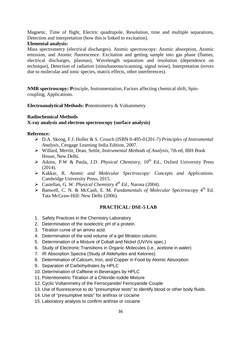Magnetic, Time of flight, Electric quadrupole. Resolution, time and multiple separations, Detection and interpretation (how this is linked to excitation).

#### **Elemental analysis:**

Mass spectrometry (electrical discharges). Atomic spectroscopy: Atomic absorption, Atomic emission, and Atomic fluorescence. Excitation and getting sample into gas phase (flames, electrical discharges, plasmas), Wavelength separation and resolution (dependence on technique), Detection of radiation (simultaneous/scanning, signal noise), Interpretation (errors due to molecular and ionic species, matrix effects, other interferences).

**NMR spectroscopy: P**rinciple, Instrumentation, Factors affecting chemical shift, Spincoupling, Applications.

**Electroanalytical Methods: P**otentiometry & Voltammetry

#### **Radiochemical Methods**

#### **X-ray analysis and electron spectroscopy (surface analysis)**

#### **Reference:**

- D.A. Skoog, F.J. Holler & S. Crouch (ISBN 0-495-01201-7) *Principles of Instrumental Analysis,* Cengage Learning India Edition, 2007.
- Willard, Merritt, Dean, Settle, *Instrumental Methods of Analysis,* 7th ed, IBH Book House, New Delhi.
- > Atkins, P.W & Paula, J.D. *Physical Chemistry*, 10<sup>th</sup> Ed., Oxford University Press (2014).
- Kakkar, R. *Atomic and Molecular Spectroscopy: Concepts and Applications.* Cambridge University Press, 2015.
- Castellan, G. W. *Physical Chemistry 4th Ed.,* Narosa (2004).
- > Banwell, C. N. & McCash, E. M. *Fundamentals of Molecular Spectroscopy* 4<sup>th</sup> Ed. Tata McGraw-Hill: New Delhi (2006).

#### **PRACTICAL: DSE-5 LAB**

- 1. Safety Practices in the Chemistry Laboratory
- 2. Determination of the isoelectric pH of a protein.
- 3. Titration curve of an amino acid.
- 4. Determination of the void volume of a gel filtration column.
- 5. Determination of a Mixture of Cobalt and Nickel (UV/Vis spec.)
- 6. Study of Electronic Transitions in Organic Molecules (i.e., acetone in water)
- 7. IR Absorption Spectra (Study of Aldehydes and Ketones)
- 8. Determination of Calcium, Iron, and Copper in Food by Atomic Absorption
- 9. Separation of Carbohydrates by HPLC
- 10. Determination of Caffeine in Beverages by HPLC
- 11. Potentiometric Titration of a Chloride-Iodide Mixture
- 12. Cyclic Voltammetry of the Ferrocyanide/ Ferricyanide Couple
- 13. Use of fluorescence to do "presumptive tests" to identify blood or other body fluids.
- 14. Use of "presumptive tests" for anthrax or cocaine
- 15. Laboratory analysis to confirm anthrax or cocaine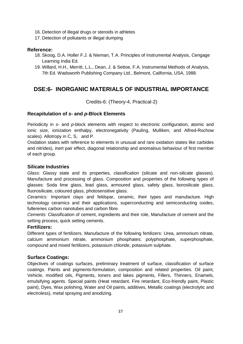- 16. Detection of illegal drugs or steroids in athletes
- 17. Detection of pollutants or illegal dumping

#### **Reference:**

- 18. Skoog, D.A. Holler F.J. & Nieman, T.A. Principles of Instrumental Analysis, Cengage Learning India Ed.
- 19. Willard, H.H., Merritt, L.L., Dean, J. & Settoe, F.A. Instrumental Methods of Analysis, 7th Ed. Wadsworth Publishing Company Ltd., Belmont, California, USA, 1988.

# **DSE:6- INORGANIC MATERIALS OF INDUSTRIAL IMPORTANCE**

Credits-6: (Theory-4, Practical-2)

#### **Recapitulation of** *s***- and** *p***-Block Elements**

Periodicity in *s*- and *p*-block elements with respect to electronic configuration, atomic and ionic size, ionization enthalpy, electronegativity (Pauling, Mulliken, and Alfred-Rochow scales). Allotropy in C, S, and P.

Oxidation states with reference to elements in unusual and rare oxidation states like carbides and nitrides), inert pair effect, diagonal relationship and anomalous behaviour of first member of each group.

#### **Silicate Industries**

*Glass:* Glassy state and its properties, classification (silicate and non-silicate glasses). Manufacture and processing of glass. Composition and properties of the following types of glasses: Soda lime glass, lead glass, armoured glass, safety glass, borosilicate glass, fluorosilicate, coloured glass, photosensitive glass.

*Ceramics:* Important clays and feldspar, ceramic, their types and manufacture. High technology ceramics and their applications, superconducting and semiconducting oxides, fullerenes carbon nanotubes and carbon fibre.

*Cements:* Classification of cement, ingredients and their role, Manufacture of cement and the setting process, quick setting cements.

#### **Fertilizers:**

Different types of fertilizers. Manufacture of the following fertilizers: Urea, ammonium nitrate, calcium ammonium nitrate, ammonium phosphates; polyphosphate, superphosphate, compound and mixed fertilizers, potassium chloride, potassium sulphate.

#### **Surface Coatings:**

Objectives of coatings surfaces, preliminary treatment of surface, classification of surface coatings. Paints and pigments-formulation, composition and related properties. Oil paint, Vehicle, modified oils, Pigments, toners and lakes pigments, Fillers, Thinners, Enamels, emulsifying agents. Special paints (Heat retardant, Fire retardant, Eco-friendly paint, Plastic paint), Dyes, Wax polishing, Water and Oil paints, additives, Metallic coatings (electrolytic and electroless), metal spraying and anodizing.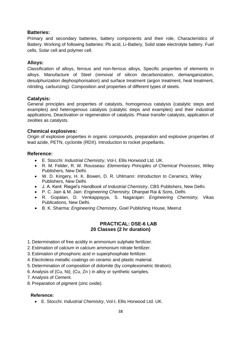#### **Batteries:**

Primary and secondary batteries, battery components and their role, Characteristics of Battery. Working of following batteries: Pb acid, Li-Battery, Solid state electrolyte battery. Fuel cells, Solar cell and polymer cell.

#### **Alloys:**

Classification of alloys, ferrous and non-ferrous alloys, Specific properties of elements in alloys. Manufacture of Steel (removal of silicon decarbonization, demanganization, desulphurization dephosphorisation) and surface treatment (argon treatment, heat treatment, nitriding, carburizing). Composition and properties of different types of steels.

#### **Catalysis:**

General principles and properties of catalysts, homogenous catalysis (catalytic steps and examples) and heterogenous catalysis (catalytic steps and examples) and their industrial applications, Deactivation or regeneration of catalysts. Phase transfer catalysts, application of zeolites as catalysts.

#### **Chemical explosives:**

Origin of explosive properties in organic compounds, preparation and explosive properties of lead azide, PETN, cyclonite (RDX). Introduction to rocket propellants.

#### **Reference:**

- E. Stocchi: *Industrial Chemistry*, Vol-I, Ellis Horwood Ltd. UK.
- R. M. Felder, R. W. Rousseau: *Elementary Principles of Chemical Processes*, Wiley Publishers, New Delhi.
- W. D. Kingery, H. K. Bowen, D. R. Uhlmann: *Introduction to Ceramics,* Wiley Publishers, New Delhi.
- J. A. Kent: Riegel's *Handbook of Industrial Chemistry*, CBS Publishers, New Delhi.
- P. C. Jain & M. Jain: *Engineering Chemistry,* Dhanpat Rai & Sons, Delhi.
- R. Gopalan, D. Venkappayya, S. Nagarajan: *Engineering Chemistry,* Vikas Publications, New Delhi.
- B. K. Sharma: *Engineering Chemistry*, Goel Publishing House, Meerut

#### **PRACTICAL: DSE-6 LAB 20 Classes (2 hr duration)**

- 1. Determination of free acidity in ammonium sulphate fertilizer.
- 2. Estimation of calcium in calcium ammonium nitrate fertilizer.
- 3. Estimation of phosphoric acid in superphosphate fertilizer.
- 4. Electroless metallic coatings on ceramic and plastic material.
- 5. Determination of composition of dolomite (by complexometric titration).
- 6. Analysis of (Cu, Ni); (Cu, Zn ) in alloy or synthetic samples.
- 7. Analysis of Cement.
- 8. Preparation of pigment (zinc oxide).

#### **Reference:**

E. Stocchi: *Industrial Chemistry*, Vol-I, Ellis Horwood Ltd. UK.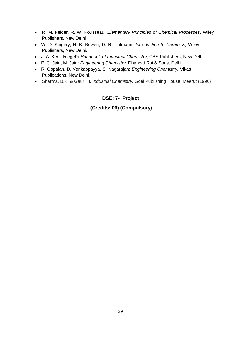- R. M. Felder, R. W. Rousseau: *Elementary Principles of Chemical Processes*, Wiley Publishers, New Delhi
- W. D. Kingery, H. K. Bowen, D. R. Uhlmann: *Introduction to Ceramics,* Wiley Publishers, New Delhi.
- J. A. Kent: Riegel's *Handbook of Industrial Chemistry*, CBS Publishers, New Delhi.
- P. C. Jain, M. Jain: *Engineering Chemistry,* Dhanpat Rai & Sons, Delhi.
- R. Gopalan, D. Venkappayya, S. Nagarajan: *Engineering Chemistry,* Vikas Publications, New Delhi.
- Sharma, B.K. & Gaur, H. *Industrial Chemistry,* Goel Publishing House, Meerut (1996)

# **DSE: 7- Project**

### **(Credits: 06) (Compulsory)**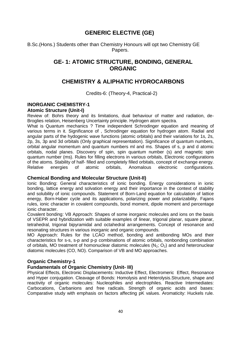# **GENERIC ELECTIVE (GE)**

B.Sc.(Hons.) Students other than Chemistry Honours will opt two Chemistry GE Papers.

# **GE- 1: ATOMIC STRUCTURE, BONDING, GENERAL ORGANIC**

# **CHEMISTRY & ALIPHATIC HYDROCARBONS**

Credits-6: (Theory-4, Practical-2)

#### **INORGANIC CHEMISTRY-1 Atomic Structure (Unit-I)**

Review of: Bohrs theory and its limitations, dual behaviour of matter and radiation, de-Broglies relation, Heisenberg Uncertainty principle. Hydrogen atom spectra.

What is Quantum mechanics ? Time independent Schrodinger equation and meaning of various terms in it. Significance of , Schrodinger equation for hydrogen atom. Radial and angular parts of the hydogenic wave functions (atomic orbitals) and their variations for 1s, 2s, 2p, 3s, 3p and 3d orbitals (Only graphical representation). Significance of quantum numbers, orbital angular momentum and quantum numbers ml and ms. Shapes of s, p and d atomic orbitals, nodal planes. Discovery of spin, spin quantum number (s) and magnetic spin quantum number (ms). Rules for filling electrons in various orbitals, Electronic configurations of the atoms. Stability of half- filled and completely filled orbitals, concept of exchange energy. Relative energies of atomic orbitals, Anomalous electronic configurations.

#### **Chemical Bonding and Molecular Structure (Unit-II)**

Ionic Bonding: General characteristics of ionic bonding. Energy considerations in ionic bonding, lattice energy and solvation energy and their importance in the context of stability and solubility of ionic compounds. Statement of Born-Land equation for calculation of lattice energy, Born-Haber cycle and its applications, polarizing power and polarizability. Fajans rules, ionic character in covalent compounds, bond moment, dipole moment and percentage ionic character.

Covalent bonding: VB Approach: Shapes of some inorganic molecules and ions on the basis of VSEPR and hybridization with suitable examples of linear, trigonal planar, square planar, tetrahedral, trigonal bipyramidal and octahedral arrangements. Concept of resonance and resonating structures in various inorganic and organic compounds.

MO Approach: Rules for the LCAO method, bonding and antibonding MOs and their characteristics for s-s, s-p and p-p combinations of atomic orbitals, nonbonding combination of orbitals. MO treatment of homonuclear diatomic molecules  $(N_2; O_2)$  and and heteronuclear diatomic molecules (CO, NO). Comparison of VB and MO approaches.

#### **Organic Chemistry-1**

#### **Fundamentals of Organic Chemistry (Unit- III)**

Physical Effects, Electronic Displacements: Inductive Effect, Electromeric Effect, Resonance and Hyper conjugation. Cleavage of Bonds: Homolysis and Heterolysis.Structure, shape and reactivity of organic molecules: Nucleophiles and electrophiles. Reactive Intermediates: Carbocations, Carbanions and free radicals. Strength of organic acids and bases: Comparative study with emphasis on factors affecting pK values. Aromaticity: Huckels rule.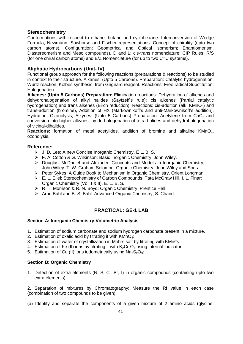#### **Stereochemistry**

Conformations with respect to ethane, butane and cyclohexane. Interconversion of Wedge Formula, Newmann, Sawhorse and Fischer representations. Concept of chirality (upto two carbon atoms). Configuration: Geometrical and Optical isomerism; Enantiomerism, Diastereomerism and Meso compounds). D and L; cis-trans nomenclature; CIP Rules: R/S (for one chiral carbon atoms) and E/Z Nomenclature (for up to two C=C systems).

#### **Aliphatic Hydrocarbons (Unit- IV)**

Functional group approach for the following reactions (preparations & reactions) to be studied in context to their structure. Alkanes: (Upto 5 Carbons). Preparation: Catalytic hydrogenation, Wurtz reaction, Kolbes synthesis, from Grignard reagent. Reactions: Free radical Substitution: Halogenation.

**Alkenes: (Upto 5 Carbons) Preparation:** Elimination reactions: Dehydration of alkenes and dehydrohalogenation of alkyl halides (Saytzeff's rule); cis alkenes (Partial catalytic hydrogenation) and trans alkenes (Birch reduction). Reactions: cis-addition (alk. KMnO<sub>4</sub>) and trans-addition (bromine), Addition of HX (Markownikoff's and anti-Markownikoff's addition), Hydration, Ozonolysis, Alkynes: (Upto 5 Carbons) Preparation: Acetylene from  $CaC<sub>2</sub>$  and conversion into higher alkynes; by de-halogenation of tetra halides and dehydrohalogenation of vicinal-dihalides.

**Reactions:** formation of metal acetylides, addition of bromine and alkaline KMnO<sub>4</sub>, ozonolysis.

#### **Reference:**

- J. D. Lee: A new Concise Inorganic Chemistry, E L. B. S.
- $\triangleright$  F. A. Cotton & G. Wilkinson: Basic Inorganic Chemistry, John Wiley.
- Douglas, McDaniel and Alexader: Concepts and Models in Inorganic Chemistry, John Wiley. T. W. Graham Solomon: Organic Chemistry, John Wiley and Sons.
- Peter Sykes: A Guide Book to Mechanism in Organic Chemistry, Orient Longman.
- E. L. Eliel: Stereochemistry of Carbon Compounds, Tata McGraw Hill. I. L. Finar: Organic Chemistry (Vol. I & II), E. L. B. S.
- ▶ R. T. Morrison & R. N. Boyd: Organic Chemistry, Prentice Hall.
- > Arun Bahl and B. S. Bahl: Advanced Organic Chemistry, S. Chand.

#### **PRACTICAL: GE-1 LAB**

#### **Section A: Inorganic Chemistry-Volumetric Analysis**

- 1. Estimation of sodium carbonate and sodium hydrogen carbonate present in a mixture.
- 2. Estimation of oxalic acid by titrating it with  $KMD_4$ :
- 3. Estimation of water of crystallization in Mohrs salt by titrating with  $KMD<sub>4</sub>$ :
- 4. Estimation of Fe (II) ions by titrating it with  $K_2Cr_2O_7$  using internal indicator.
- 5. Estimation of Cu (II) ions iodometrically using  $Na<sub>2</sub>S<sub>2</sub>O<sub>3</sub>$ :

#### **Section B: Organic Chemistry**

1. Detection of extra elements (N, S, Cl, Br, I) in organic compounds (containing upto two extra elements).

2. Separation of mixtures by Chromatography: Measure the Rf value in each case (combination of two compounds to be given).

(a) Identify and separate the components of a given mixture of 2 amino acids (glycine,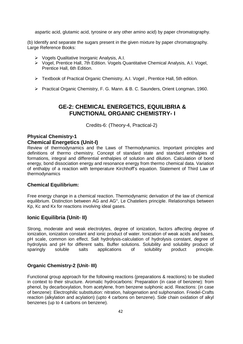aspartic acid, glutamic acid, tyrosine or any other amino acid) by paper chromatography.

(b) Identify and separate the sugars present in the given mixture by paper chromatography. Large Reference Books:

- Vogels Qualitative Inorganic Analysis, A.I.
- Vogel, Prentice Hall, 7th Edition. Vogels Quantitative Chemical Analysis, A.I. Vogel, Prentice Hall, 6th Edition.
- Textbook of Practical Organic Chemistry, A.I. Vogel , Prentice Hall, 5th edition.
- Practical Organic Chemistry, F. G. Mann. & B. C. Saunders, Orient Longman, 1960.

# **GE-2: CHEMICAL ENERGETICS, EQUILIBRIA & FUNCTIONAL ORGANIC CHEMISTRY- I**

Credits-6: (Theory-4, Practical-2)

# **Physical Chemistry-1**

#### **Chemical Energetics (Unit-I)**

Review of thermodynamics and the Laws of Thermodynamics. Important principles and definitions of thermo chemistry. Concept of standard state and standard enthalpies of formations, integral and differential enthalpies of solution and dilution. Calculation of bond energy, bond dissociation energy and resonance energy from thermo chemical data. Variation of enthalpy of a reaction with temperature Kirchhoff's equation. Statement of Third Law of thermodynamics

#### **Chemical Equilibrium:**

Free energy change in a chemical reaction. Thermodynamic derivation of the law of chemical equilibrium. Distinction between AG and AG°, Le Chateliers principle. Relationships between Kp, Kc and Kx for reactions involving ideal gases.

#### **Ionic Equilibria (Unit- II)**

Strong, moderate and weak electrolytes, degree of ionization, factors affecting degree of ionization, ionization constant and ionic product of water. Ionization of weak acids and bases, pH scale, common ion effect. Salt hydrolysis-calculation of hydrolysis constant, degree of hydrolysis and pH for different salts. Buffer solutions. Solubility and solubility product of sparingly soluble salts applications of solubility product principle.

#### **Organic Chemistry-2 (Unit- III)**

Functional group approach for the following reactions (preparations & reactions) to be studied in context to their structure. Aromatic hydrocarbons: Preparation (in case of benzene): from phenol, by decarboxylation, from acetylene, from benzene sulphonic acid. Reactions: (in case of benzene): Electrophilic substitution: nitration, halogenation and sulphonation. Friedel-Crafts reaction (alkylation and acylation) (upto 4 carbons on benzene). Side chain oxidation of alkyl benzenes (up to 4 carbons on benzene).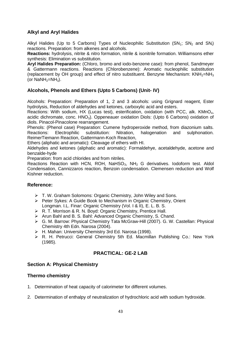### **Alkyl and Aryl Halides**

Alkyl Halides (Up to 5 Carbons) Types of Nucleophilic Substitution  $(SN_1; SN_2$  and  $SN_i)$ reactions. Preparation: from alkenes and alcohols.

**Reactions:** hydrolysis, nitrite & nitro formation, nitrile & isonitrile formation. Williamsons ether synthesis: Elimination vs substitution.

**Aryl Halides Preparation:** (Chloro, bromo and iodo-benzene case): from phenol, Sandmeyer & Gattermann reactions. Reactions (Chlorobenzene): Aromatic nucleophilic substitution (replacement by OH group) and effect of nitro substituent. Benzyne Mechanism: KNH<sub>2</sub>=NH<sub>3</sub> (or  $N$ aNH<sub>2</sub>=NH<sub>3</sub>).

### **Alcohols, Phenols and Ethers (Upto 5 Carbons) (Unit- IV)**

Alcohols: Preparation: Preparation of 1, 2 and 3 alcohols: using Grignard reagent, Ester hydrolysis, Reduction of aldehydes and ketones, carboxylic acid and esters.

Reactions: With sodium, HX (Lucas test), esterification, oxidation (with PCC, alk. KMnO<sub>4</sub>, acidic dichromate, conc.  $HNO<sub>3</sub>$ ). Oppeneauer oxidation Diols: (Upto 6 Carbons) oxidation of diols. Pinacol-Pinacolone rearrangement.

Phenols: (Phenol case) Preparation: Cumene hydroperoxide method, from diazonium salts. Reactions: Electrophilic substitution: Nitration, halogenation and sulphonation. ReimerTiemann Reaction, Gattermann-Koch Reaction,

Ethers (aliphatic and aromatic): Cleavage of ethers with HI.

Aldehydes and ketones (aliphatic and aromatic): Formaldehye, acetaldehyde, acetone and benzalde-hyde

Preparation: from acid chlorides and from nitriles.

Reactions Reaction with HCN, ROH, NaHSO<sub>3</sub>, NH<sub>2</sub> G derivatives. Iodoform test. Aldol Condensation, Cannizzaros reaction, Benzoin condensation. Clemensen reduction and Wolf Kishner reduction.

#### **Reference:**

- T. W. Graham Solomons: Organic Chemistry, John Wiley and Sons.
- Peter Sykes: A Guide Book to Mechanism in Organic Chemistry, Orient Longman. I.L. Finar: Organic Chemistry (Vol. I & II), E. L. B. S.
- ▶ R. T. Morrison & R. N. Boyd: Organic Chemistry, Prentice Hall.
- > Arun Bahl and B. S. Bahl: Advanced Organic Chemistry, S. Chand.
- G. M. Barrow: Physical Chemistry Tata McGraw-Hill (2007). G. W. Castellan: Physical Chemistry 4th Edn. Narosa (2004).
- ▶ H. Mahan: University Chemistry 3rd Ed. Narosa (1998).
- R. H. Petrucci: General Chemistry 5th Ed. Macmillan Publishing Co.: New York (1985).

#### **PRACTICAL: GE-2 LAB**

#### **Section A: Physical Chemistry**

#### **Thermo chemistry**

- 1. Determination of heat capacity of calorimeter for different volumes.
- 2. Determination of enthalpy of neutralization of hydrochloric acid with sodium hydroxide.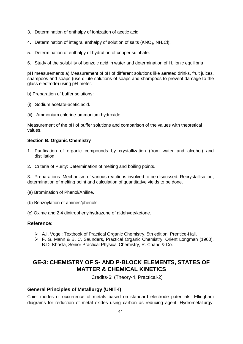- 3. Determination of enthalpy of ionization of acetic acid.
- 4. Determination of integral enthalpy of solution of salts ( $KNO<sub>3</sub>$ , NH<sub>4</sub>Cl).
- 5. Determination of enthalpy of hydration of copper sulphate.
- 6. Study of the solubility of benzoic acid in water and determination of H. Ionic equilibria

pH measurements a) Measurement of pH of different solutions like aerated drinks, fruit juices, shampoos and soaps (use dilute solutions of soaps and shampoos to prevent damage to the glass electrode) using pH-meter.

b) Preparation of buffer solutions:

- (i) Sodium acetate-acetic acid.
- (ii) Ammonium chloride-ammonium hydroxide.

Measurement of the pH of buffer solutions and comparison of the values with theoretical values.

#### **Section B: Organic Chemistry**

- 1. Purification of organic compounds by crystallization (from water and alcohol) and distillation.
- 2. Criteria of Purity: Determination of melting and boiling points.

3. Preparations: Mechanism of various reactions involved to be discussed. Recrystallisation, determination of melting point and calculation of quantitative yields to be done.

- (a) Bromination of Phenol/Aniline.
- (b) Benzoylation of amines/phenols.
- (c) Oxime and 2,4 dinitrophenylhydrazone of aldehyde/ketone.

#### **Reference:**

- A.I. Vogel: Textbook of Practical Organic Chemistry, 5th edition, Prentice-Hall.
- F. G. Mann & B. C. Saunders, Practical Organic Chemistry, Orient Longman (1960). B.D. Khosla, Senior Practical Physical Chemistry, R. Chand & Co.

# **GE-3: CHEMISTRY OF S- AND P-BLOCK ELEMENTS, STATES OF MATTER & CHEMICAL KINETICS**

Credits-6: (Theory-4, Practical-2)

#### **General Principles of Metallurgy (UNIT-I)**

Chief modes of occurrence of metals based on standard electrode potentials. Ellingham diagrams for reduction of metal oxides using carbon as reducing agent. Hydrometallurgy,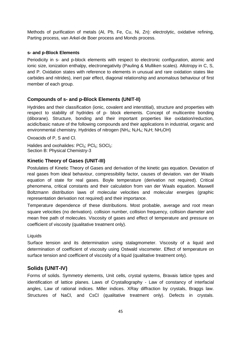Methods of purification of metals (Al, Pb, Fe, Cu, Ni, Zn): electrolytic, oxidative refining, Parting process, van Arkel-de Boer process and Monds process.

#### **s- and p-Block Elements**

Periodicity in s- and p-block elements with respect to electronic configuration, atomic and ionic size, ionization enthalpy, electronegativity (Pauling & Mulliken scales). Allotropy in C, S, and P. Oxidation states with reference to elements in unusual and rare oxidation states like carbides and nitrides), inert pair effect, diagonal relationship and anomalous behaviour of first member of each group.

#### **Compounds of s- and p-Block Elements (UNIT-II)**

Hydrides and their classification (ionic, covalent and interstitial), structure and properties with respect to stability of hydrides of p- block elements. Concept of multicentre bonding (diborane). Structure, bonding and their important properties like oxidation/reduction, acidic/basic nature of the following compounds and their applications in industrial, organic and environmental chemistry. Hydrides of nitrogen ( $NH_3$ ;  $N_2H_4$ ;  $N_3H$ ;  $NH_2OH$ )

Oxoacids of P, S and Cl.

Halides and oxohalides: PCI<sub>3</sub>: PCI<sub>5</sub>: SOCI<sub>2</sub>: Section B: Physical Chemistry-3

#### **Kinetic Theory of Gases (UNIT-III)**

Postulates of Kinetic Theory of Gases and derivation of the kinetic gas equation. Deviation of real gases from ideal behaviour, compressibility factor, causes of deviation. van der Waals equation of state for real gases. Boyle temperature (derivation not required). Critical phenomena, critical constants and their calculation from van der Waals equation. Maxwell Boltzmann distribution laws of molecular velocities and molecular energies (graphic representation derivation not required) and their importance.

Temperature dependence of these distributions. Most probable, average and root mean square velocities (no derivation). collision number, collision frequency, collision diameter and mean free path of molecules. Viscosity of gases and effect of temperature and pressure on coefficient of viscosity (qualitative treatment only).

#### Liquids

Surface tension and its determination using stalagmometer. Viscosity of a liquid and determination of coefficient of viscosity using Ostwald viscometer. Effect of temperature on surface tension and coefficient of viscosity of a liquid (qualitative treatment only).

#### **Solids (UNIT-IV)**

Forms of solids. Symmetry elements, Unit cells, crystal systems, Bravais lattice types and identification of lattice planes. Laws of Crystallography - Law of constancy of interfacial angles, Law of rational indices. Miller indices. XRay diffraction by crystals, Braggs law. Structures of NaCl, and CsCl (qualitative treatment only). Defects in crystals.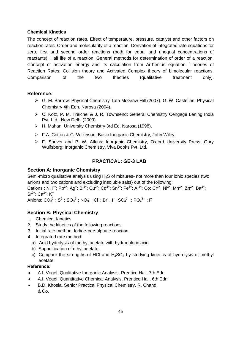#### **Chemical Kinetics**

The concept of reaction rates. Effect of temperature, pressure, catalyst and other factors on reaction rates. Order and molecularity of a reaction. Derivation of integrated rate equations for zero, first and second order reactions (both for equal and unequal concentrations of reactants). Half life of a reaction. General methods for determination of order of a reaction. Concept of activation energy and its calculation from Arrhenius equation. Theories of Reaction Rates: Collision theory and Activated Complex theory of bimolecular reactions. Comparison of the two theories (qualitative treatment only).

#### **Reference:**

- G. M. Barrow: Physical Chemistry Tata McGraw-Hill (2007). G. W. Castellan: Physical Chemistry 4th Edn. Narosa (2004).
- ▶ C. Kotz, P. M. Treichel & J. R. Townsend: General Chemistry Cengage Lening India Pvt. Ltd., New Delhi (2009).
- H. Mahan: University Chemistry 3rd Ed. Narosa (1998).
- ▶ F.A. Cotton & G. Wilkinson: Basic Inorganic Chemistry, John Wiley.
- F. Shriver and P. W. Atkins: Inorganic Chemistry, Oxford University Press. Gary Wulfsberg: Inorganic Chemistry, Viva Books Pvt. Ltd.

### **PRACTICAL: GE-3 LAB**

#### **Section A: Inorganic Chemistry**

Semi-micro qualitative analysis using H<sub>2</sub>S of mixtures- not more than four ionic species (two anions and two cations and excluding insoluble salts) out of the following:

Cations : NH<sup>4+</sup>; Pb<sup>2+</sup>; Ag<sup>+</sup>; Bi<sup>3+</sup>; Cu<sup>2+</sup>; Cd<sup>2+</sup>; Sn<sup>2+</sup>; Fe<sup>3+</sup>; Al<sup>3+</sup>; Co; Cr<sup>3+</sup>; Ni<sup>2+</sup>; Mn<sup>2+</sup>; Zn<sup>2+</sup>; Ba<sup>2+</sup>;  $Sr^{2+}$ : Ca<sup>2+</sup>: K<sup>+</sup>

Anions:  $\mathsf{CO_3}^2$  ;  $\mathsf{S}^2$  ;  $\mathsf{SO_3}^2$  ;  $\mathsf{NO_3}$  ;  $\mathsf{Cl}$  ;  $\mathsf{Br}$  ;  $\mathsf{I}$  ;  $\mathsf{SO_4}^2$  ;  $\mathsf{PO_4}^3$  ;  $\mathsf{F}$ 

#### **Section B: Physical Chemistry**

- 1. Chemical Kinetics
- 2. Study the kinetics of the following reactions.
- 3. Initial rate method: Iodide-persulphate reaction.
- 4. Integrated rate method:
- a) Acid hydrolysis of methyl acetate with hydrochloric acid.
- b) Saponification of ethyl acetate.
- c) Compare the strengths of HCl and  $H_2SO_4$  by studying kinetics of hydrolysis of methyl acetate.

- A.I. Vogel, Qualitative Inorganic Analysis, Prentice Hall, 7th Edn
- A.I. Vogel, Quantitative Chemical Analysis, Prentice Hall, 6th Edn.
- B.D. Khosla, Senior Practical Physical Chemistry, R. Chand & Co.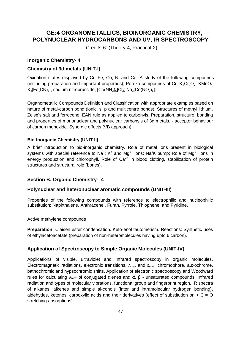# **GE:4 ORGANOMETALLICS, BIOINORGANIC CHEMISTRY, POLYNUCLEAR HYDROCARBONS AND UV, IR SPECTROSCOPY**

Credits-6: (Theory-4, Practical-2)

#### **Inorganic Chemistry- 4**

#### **Chemistry of 3d metals (UNIT-I)**

Oxidation states displayed by Cr, Fe, Co, Ni and Co. A study of the following compounds (including preparation and important properties); Peroxo compounds of Cr,  $K_2Cr_2O_7$ ; KMnO<sub>4</sub>;  $K_4$ [Fe(CN)<sub>6</sub>], sodium nitroprusside,  $[Co(NH_3)_6]Cl_3$ ; Na<sub>3</sub>[Co(NO<sub>2</sub>)<sub>6</sub>]:

Organometallic Compounds Definition and Classification with appropriate examples based on nature of metal-carbon bond (ionic, s, p and multicentre bonds). Structures of methyl lithium, Zeise's salt and ferrocene. EAN rule as applied to carbonyls. Preparation, structure, bonding and properties of mononuclear and polynuclear carbonyls of 3d metals. - acceptor behaviour of carbon monoxide. Synergic effects (VB approach).

#### **Bio-Inorganic Chemistry (UNIT-II)**

A brief introduction to bio-inorganic chemistry. Role of metal ions present in biological systems with special reference to Na<sup>+</sup>; K<sup>+</sup> and Mg<sup>2+</sup> ions: Na/K pump; Role of Mg<sup>2+</sup> ions in energy production and chlorophyll. Role of  $Ca^{2+}$  in blood clotting, stabilization of protein structures and structural role (bones).

#### **Section B: Organic Chemistry- 4**

#### **Polynuclear and heteronuclear aromatic compounds (UNIT-III)**

Properties of the following compounds with reference to electrophilic and nucleophilic substitution: Naphthalene, Anthracene , Furan, Pyrrole, Thiophene, and Pyridine.

#### Active methylene compounds

**Preparation:** Claisen ester condensation. Keto-enol tautomerism. Reactions: Synthetic uses of ethylacetoacetate (preparation of non-heteromolecules having upto 6 carbon).

#### **Application of Spectroscopy to Simple Organic Molecules (UNIT-IV)**

Applications of visible, ultraviolet and Infrared spectroscopy in organic molecules. Electromagnetic radiations, electronic transitions,  $\lambda_{\text{max}}$  and  $\epsilon_{\text{max}}$ , chromophore, auxochrome, bathochromic and hypsochromic shifts. Application of electronic spectroscopy and Woodward rules for calculating  $λ_{max}$  of conjugated dienes and  $α$ ,  $β$  - unsaturated compounds. Infrared radiation and types of molecular vibrations, functional group and fingerprint region. IR spectra of alkanes, alkenes and simple al-cohols (inter and intramolecular hydrogen bonding), aldehydes, ketones, carboxylic acids and their derivatives (effect of substitution on  $> C = O$ stretching absorptions).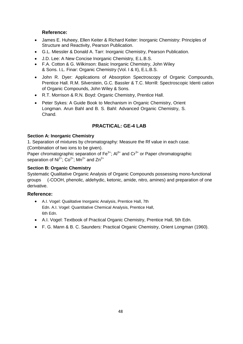### **Reference:**

- James E. Huheey, Ellen Keiter & Richard Keiter: Inorganic Chemistry: Principles of Structure and Reactivity, Pearson Publication.
- G.L. Miessler & Donald A. Tarr: Inorganic Chemistry, Pearson Publication.
- J.D. Lee: A New Concise Inorganic Chemistry, E.L.B.S.
- F.A. Cotton & G. Wilkinson: Basic Inorganic Chemistry, John Wiley & Sons. I.L. Finar: Organic Chemistry (Vol. I & II), E.L.B.S.
- John R. Dyer: Applications of Absorption Spectroscopy of Organic Compounds, Prentice Hall. R.M. Silverstein, G.C. Bassler & T.C. Morrill: Spectroscopic Identi cation of Organic Compounds, John Wiley & Sons.
- R.T. Morrison & R.N. Boyd: Organic Chemistry, Prentice Hall.
- Peter Sykes: A Guide Book to Mechanism in Organic Chemistry, Orient Longman. Arun Bahl and B. S. Bahl: Advanced Organic Chemistry, S. Chand.

# **PRACTICAL: GE-4 LAB**

#### **Section A: Inorganic Chemistry**

1. Separation of mixtures by chromatography: Measure the Rf value in each case. (Combination of two ions to be given).

Paper chromatographic separation of  $Fe^{3+}$ ; Al<sup>3+</sup> and  $Cr^{3+}$  or Paper chromatographic separation of  $Ni^{2+}$ ;  $Co^{2+}$ ; Mn<sup>2+</sup> and Zn<sup>2+</sup>

#### **Section B: Organic Chemistry**

Systematic Qualitative Organic Analysis of Organic Compounds possessing mono-functional groups (-COOH, phenolic, aldehydic, ketonic, amide, nitro, amines) and preparation of one derivative.

- A.I. Vogel: Qualitative Inorganic Analysis, Prentice Hall, 7th Edn. A.I. Vogel: Quantitative Chemical Analysis, Prentice Hall, 6th Edn.
- A.I. Vogel: Textbook of Practical Organic Chemistry, Prentice Hall, 5th Edn.
- F. G. Mann & B. C. Saunders: Practical Organic Chemistry, Orient Longman (1960).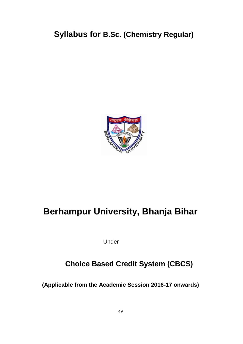# **Syllabus for B.Sc. (Chemistry Regular)**



# **Berhampur University, Bhanja Bihar**

Under

# **Choice Based Credit System (CBCS)**

**(Applicable from the Academic Session 2016-17 onwards)**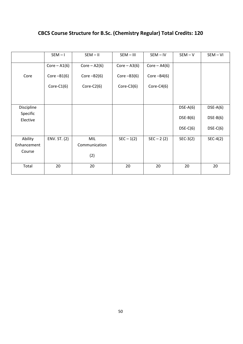# **CBCS Course Structure for B.Sc. (Chemistry Regular) Total Credits: 120**

|                      | $SEM - I$      | $SEM - II$     | $SEM - III$    | $SEM - IV$     | $SEM - V$  | $SEM - VI$ |
|----------------------|----------------|----------------|----------------|----------------|------------|------------|
|                      | $Core - A1(6)$ | $Core - A2(6)$ | $Core - A3(6)$ | $Core - A4(6)$ |            |            |
| Core                 | Core $-B1(6)$  | Core $-B2(6)$  | Core $-B3(6)$  | Core $-B4(6)$  |            |            |
|                      | Core- $C1(6)$  | Core-C2 $(6)$  | $Core-C3(6)$   | Core-C4 $(6)$  |            |            |
|                      |                |                |                |                |            |            |
| Discipline           |                |                |                |                | $DSE-A(6)$ | $DSE-A(6)$ |
| Specific<br>Elective |                |                |                |                | $DSE-B(6)$ | $DSE-B(6)$ |
|                      |                |                |                |                | $DSE-C(6)$ | $DSE-C(6)$ |
| Ability              | ENV. ST. (2)   | MIL            | $SEC - 1(2)$   | $SEC - 2 (2)$  | $SEC-3(2)$ | $SEC-4(2)$ |
| Enhancement          |                | Communication  |                |                |            |            |
| Course               |                | (2)            |                |                |            |            |
| Total                | 20             | 20             | 20             | 20             | 20         | 20         |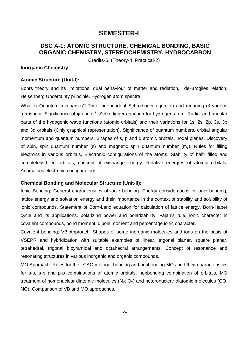# **SEMESTER-I**

# **DSC A-1: ATOMIC STRUCTURE, CHEMICAL BONDING, BASIC ORGANIC CHEMISTRY, STEREOCHEMISTRY, HYDROCARBON**

Credits-6: (Theory-4, Practical-2)

#### **Inorganic Chemistry**

#### **Atomic Structure (Unit-I):**

Bohrs theory and its limitations, dual behaviour of matter and radiation, de-Broglies relation, Heisenberg Uncertainty principle. Hydrogen atom spectra.

What is Quantum mechanics? Time independent Schrodinger equation and meaning of various terms in it. Significance of ψ and  $\psi^2$ , Schrodinger equation for hydrogen atom. Radial and angular parts of the hydogenic wave functions (atomic orbitals) and their variations for 1s, 2s, 2p, 3s, 3p and 3d orbitals (Only graphical representation). Significance of quantum numbers, orbital angular momentum and quantum numbers. Shapes of s, p and d atomic orbitals, nodal planes. Discovery of spin, spin quantum number (s) and magnetic spin quantum number  $(m_s)$ . Rules for filling electrons in various orbitals, Electronic configurations of the atoms. Stability of half- filled and completely filled orbitals, concept of exchange energy. Relative energies of atomic orbitals, Anomalous electronic configurations.

#### **Chemical Bonding and Molecular Structure (Unit-II):**

Ionic Bonding: General characteristics of ionic bonding. Energy considerations in ionic bonding, lattice energy and solvation energy and their importance in the context of stability and solubility of ionic compounds. Statement of Born-Land equation for calculation of lattice energy, Born-Haber cycle and its applications, polarizing power and polarizability. Fajan's rule, ionic character in covalent compounds, bond moment, dipole moment and percentage ionic character.

Covalent bonding: VB Approach: Shapes of some inorganic molecules and ions on the basis of VSEPR and hybridization with suitable examples of linear, trigonal planar, square planar, tetrahedral, trigonal bipyramidal and octahedral arrangements. Concept of resonance and resonating structures in various inorganic and organic compounds.

MO Approach: Rules for the LCAO method, bonding and antibonding MOs and their characteristics for s-s, s-p and p-p combinations of atomic orbitals, nonbonding combination of orbitals, MO treatment of homonuclear diatomic molecules  $(N_2; O_2)$  and heteronuclear diatomic molecules (CO, NO). Comparison of VB and MO approaches.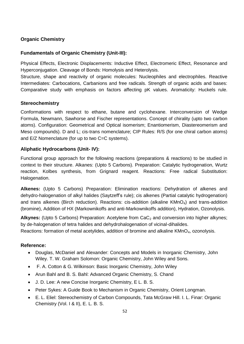### **Organic Chemistry**

### **Fundamentals of Organic Chemistry (Unit-III):**

Physical Effects, Electronic Displacements: Inductive Effect, Electromeric Effect, Resonance and Hyperconjugation. Cleavage of Bonds: Homolysis and Heterolysis.

Structure, shape and reactivity of organic molecules: Nucleophiles and electrophiles. Reactive Intermediates: Carbocations, Carbanions and free radicals. Strength of organic acids and bases: Comparative study with emphasis on factors affecting pK values. Aromaticity: Huckels rule.

#### **Stereochemistry**

Conformations with respect to ethane, butane and cyclohexane. Interconversion of Wedge Formula, Newmann, Sawhorse and Fischer representations. Concept of chirality (upto two carbon atoms). Configuration: Geometrical and Optical isomerism; Enantiomerism, Diastereomerism and Meso compounds). D and L; cis-trans nomenclature; CIP Rules: R/S (for one chiral carbon atoms) and E/Z Nomenclature (for up to two C=C systems).

#### **Aliphatic Hydrocarbons (Unit- IV):**

Functional group approach for the following reactions (preparations & reactions) to be studied in context to their structure. Alkanes: (Upto 5 Carbons). Preparation: Catalytic hydrogenation, Wurtz reaction, Kolbes synthesis, from Grignard reagent. Reactions: Free radical Substitution: Halogenation.

**Alkenes:** (Upto 5 Carbons) Preparation: Elimination reactions: Dehydration of alkenes and dehydro-halogenation of alkyl halides (Saytzeff's rule); cis alkenes (Partial catalytic hydrogenation) and trans alkenes (Birch reduction). Reactions: cis-addition (alkaline KMnO<sub>4</sub>) and trans-addition (bromine), Addition of HX (Markownikoffs and anti-Markownikoffs addition), Hydration, Ozonolysis.

Alkynes: (Upto 5 Carbons) Preparation: Acetylene from CaC<sub>2</sub> and conversion into higher alkynes; by de-halogenation of tetra halides and dehydrohalogenation of vicinal-dihalides. Reactions: formation of metal acetylides, addition of bromine and alkaline KMnO<sub>4</sub>, ozonolysis.

- Douglas, McDaniel and Alexander: Concepts and Models in Inorganic Chemistry, John Wiley. T. W. Graham Solomon: Organic Chemistry, John Wiley and Sons.
- F. A. Cotton & G. Wilkinson: Basic Inorganic Chemistry, John Wiley
- Arun Bahl and B. S. Bahl: Advanced Organic Chemistry, S. Chand
- J. D. Lee: A new Concise Inorganic Chemistry, E L. B. S.
- Peter Sykes: A Guide Book to Mechanism in Organic Chemistry, Orient Longman.
- E. L. Eliel: Stereochemistry of Carbon Compounds, Tata McGraw Hill. I. L. Finar: Organic Chemistry (Vol. I & II), E. L. B. S.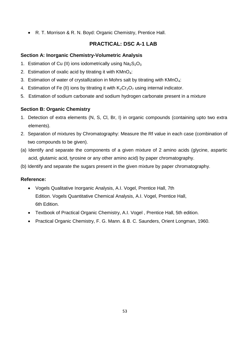R. T. Morrison & R. N. Boyd: Organic Chemistry, Prentice Hall.

# **PRACTICAL: DSC A-1 LAB**

# **Section A: Inorganic Chemistry-Volumetric Analysis**

- 1. Estimation of Cu (II) ions iodometrically using  $Na<sub>2</sub>S<sub>2</sub>O<sub>3</sub>$
- 2. Estimation of oxalic acid by titrating it with  $KMnO<sub>4</sub>$ :
- 3. Estimation of water of crystallization in Mohrs salt by titrating with  $KMnO<sub>4</sub>$ :
- 4. Estimation of Fe (II) ions by titrating it with  $K_2Cr_2O_7$  using internal indicator.
- 5. Estimation of sodium carbonate and sodium hydrogen carbonate present in a mixture

# **Section B: Organic Chemistry**

- 1. Detection of extra elements (N, S, Cl, Br, I) in organic compounds (containing upto two extra elements).
- 2. Separation of mixtures by Chromatography: Measure the Rf value in each case (combination of two compounds to be given).
- (a) Identify and separate the components of a given mixture of 2 amino acids (glycine, aspartic acid, glutamic acid, tyrosine or any other amino acid) by paper chromatography.
- (b) Identify and separate the sugars present in the given mixture by paper chromatography.

- Vogels Qualitative Inorganic Analysis, A.I. Vogel, Prentice Hall, 7th Edition. Vogels Quantitative Chemical Analysis, A.I. Vogel, Prentice Hall, 6th Edition.
- Textbook of Practical Organic Chemistry, A.I. Vogel , Prentice Hall, 5th edition.
- Practical Organic Chemistry, F. G. Mann. & B. C. Saunders, Orient Longman, 1960.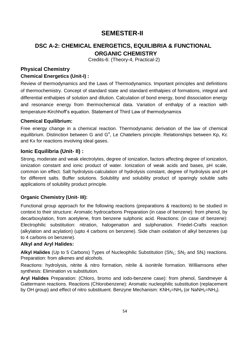# **SEMESTER-II**

# **DSC A-2: CHEMICAL ENERGETICS, EQUILIBRIA & FUNCTIONAL ORGANIC CHEMISTRY**

Credits-6: (Theory-4, Practical-2)

### **Physical Chemistry Chemical Energetics (Unit-I) :**

Review of thermodynamics and the Laws of Thermodynamics. Important principles and definitions of thermochemistry. Concept of standard state and standard enthalpies of formations, integral and differential enthalpies of solution and dilution. Calculation of bond energy, bond dissociation energy and resonance energy from thermochemical data. Variation of enthalpy of a reaction with temperature-Kirchhoff's equation. Statement of Third Law of thermodynamics

# **Chemical Equilibrium:**

Free energy change in a chemical reaction. Thermodynamic derivation of the law of chemical equilibrium. Distinction between G and G°, Le Chateliers principle. Relationships between Kp, Kc and Kx for reactions involving ideal gases.

# **Ionic Equilibria (Unit- II) :**

Strong, moderate and weak electrolytes, degree of ionization, factors affecting degree of ionization, ionization constant and ionic product of water. Ionization of weak acids and bases, pH scale, common ion effect. Salt hydrolysis-calculation of hydrolysis constant, degree of hydrolysis and pH for different salts. Buffer solutions. Solubility and solubility product of sparingly soluble salts applications of solubility product principle.

# **Organic Chemistry (Unit- III):**

Functional group approach for the following reactions (preparations & reactions) to be studied in context to their structure: Aromatic hydrocarbons Preparation (in case of benzene): from phenol, by decarboxylation, from acetylene, from benzene sulphonic acid. Reactions: (in case of benzene): Electrophilic substitution: nitration, halogenation and sulphonation. Friedel-Crafts reaction (alkylation and acylation) (upto 4 carbons on benzene). Side chain oxidation of alkyl benzenes (up to 4 carbons on benzene).

# **Alkyl and Aryl Halides:**

Alkyl Halides (Up to 5 Carbons) Types of Nucleophilic Substitution (SN<sub>1</sub>; SN<sub>2</sub> and SN<sub>i</sub>) reactions. Preparation: from alkenes and alcohols.

Reactions: hydrolysis, nitrite & nitro formation, nitrile & isonitrile formation. Williamsons ether synthesis: Elimination vs substitution.

**Aryl Halides** Preparation: (Chloro, bromo and iodo-benzene case): from phenol, Sandmeyer & Gattermann reactions. Reactions (Chlorobenzene): Aromatic nucleophilic substitution (replacement by OH group) and effect of nitro substituent. Benzyne Mechanism:  $KNH_2=NH_3$  (or NaNH<sub>2</sub>=NH<sub>3</sub>).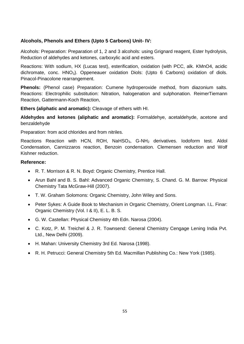### **Alcohols, Phenols and Ethers (Upto 5 Carbons) Unit- IV:**

Alcohols: Preparation: Preparation of 1, 2 and 3 alcohols: using Grignard reagent, Ester hydrolysis, Reduction of aldehydes and ketones, carboxylic acid and esters.

Reactions: With sodium, HX (Lucas test), esterification, oxidation (with PCC, alk. KMnO4, acidic dichromate, conc.  $HNO<sub>3</sub>$ ). Oppeneauer oxidation Diols: (Upto 6 Carbons) oxidation of diols. Pinacol-Pinacolone rearrangement.

**Phenols:** (Phenol case) Preparation: Cumene hydroperoxide method, from diazonium salts. Reactions: Electrophilic substitution: Nitration, halogenation and sulphonation. ReimerTiemann Reaction, Gattermann-Koch Reaction,

**Ethers (aliphatic and aromatic):** Cleavage of ethers with HI.

**Aldehydes and ketones (aliphatic and aromatic):** Formaldehye, acetaldehyde, acetone and benzaldehyde

Preparation: from acid chlorides and from nitriles.

Reactions Reaction with HCN, ROH, NaHSO<sub>3</sub>, G-NH<sub>2</sub> derivatives. Iodoform test. Aldol Condensation, Cannizzaros reaction, Benzoin condensation. Clemensen reduction and Wolf Kishner reduction.

- R. T. Morrison & R. N. Boyd: Organic Chemistry, Prentice Hall.
- Arun Bahl and B. S. Bahl: Advanced Organic Chemistry, S. Chand. G. M. Barrow: Physical Chemistry Tata McGraw-Hill (2007).
- T. W. Graham Solomons: Organic Chemistry, John Wiley and Sons.
- Peter Sykes: A Guide Book to Mechanism in Organic Chemistry, Orient Longman. I.L. Finar: Organic Chemistry (Vol. I & II), E. L. B. S.
- G. W. Castellan: Physical Chemistry 4th Edn. Narosa (2004).
- C. Kotz, P. M. Treichel & J. R. Townsend: General Chemistry Cengage Lening India Pvt. Ltd., New Delhi (2009).
- H. Mahan: University Chemistry 3rd Ed. Narosa (1998).
- R. H. Petrucci: General Chemistry 5th Ed. Macmillan Publishing Co.: New York (1985).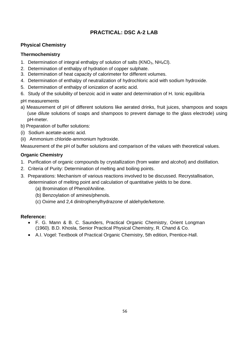# **PRACTICAL: DSC A-2 LAB**

# **Physical Chemistry**

### **Thermochemistry**

- 1. Determination of integral enthalpy of solution of salts ( $\text{KNO}_3$ ,  $\text{NH}_4\text{Cl}$ ).
- 2. Determination of enthalpy of hydration of copper sulphate.
- 3. Determination of heat capacity of calorimeter for different volumes.
- 4. Determination of enthalpy of neutralization of hydrochloric acid with sodium hydroxide.
- 5. Determination of enthalpy of ionization of acetic acid.
- 6. Study of the solubility of benzoic acid in water and determination of H. Ionic equilibria

pH measurements

- a) Measurement of pH of different solutions like aerated drinks, fruit juices, shampoos and soaps (use dilute solutions of soaps and shampoos to prevent damage to the glass electrode) using pH-meter.
- b) Preparation of buffer solutions:
- (i) Sodium acetate-acetic acid.
- (ii) Ammonium chloride-ammonium hydroxide.

Measurement of the pH of buffer solutions and comparison of the values with theoretical values.

#### **Organic Chemistry**

- 1. Purification of organic compounds by crystallization (from water and alcohol) and distillation.
- 2. Criteria of Purity: Determination of melting and boiling points.
- 3. Preparations: Mechanism of various reactions involved to be discussed. Recrystallisation, determination of melting point and calculation of quantitative yields to be done.
	- (a) Bromination of Phenol/Aniline.
	- (b) Benzoylation of amines/phenols.
	- (c) Oxime and 2,4 dinitrophenylhydrazone of aldehyde/ketone.

- F. G. Mann & B. C. Saunders, Practical Organic Chemistry, Orient Longman (1960). B.D. Khosla, Senior Practical Physical Chemistry, R. Chand & Co.
- A.I. Vogel: Textbook of Practical Organic Chemistry, 5th edition, Prentice-Hall.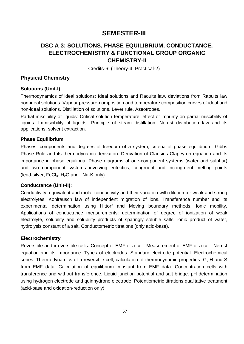# **SEMESTER-III**

# **DSC A-3: SOLUTIONS, PHASE EQUILIBRIUM, CONDUCTANCE, ELECTROCHEMISTRY & FUNCTIONAL GROUP ORGANIC CHEMISTRY-I**I

Credits-6: (Theory-4, Practical-2)

### **Physical Chemistry**

#### **Solutions (Unit-I):**

Thermodynamics of ideal solutions: Ideal solutions and Raoults law, deviations from Raoults law non-ideal solutions. Vapour pressure-composition and temperature composition curves of ideal and non-ideal solutions. Distillation of solutions. Lever rule. Azeotropes.

Partial miscibility of liquids: Critical solution temperature; effect of impurity on partial miscibility of liquids. Immiscibility of liquids- Principle of steam distillation. Nernst distribution law and its applications, solvent extraction.

#### **Phase Equilibrium**

Phases, components and degrees of freedom of a system, criteria of phase equilibrium. Gibbs Phase Rule and its thermodynamic derivation. Derivation of Clausius Clapeyron equation and its importance in phase equilibria. Phase diagrams of one-component systems (water and sulphur) and two component systems involving eutectics, congruent and incongruent melting points (lead-silver,  $FeCl<sub>3</sub>$ - H<sub>2</sub>O and Na-K only).

#### **Conductance (Unit-II):**

Conductivity, equivalent and molar conductivity and their variation with dilution for weak and strong electrolytes. Kohlrausch law of independent migration of ions. Transference number and its experimental determination using Hittorf and Moving boundary methods. Ionic mobility. Applications of conductance measurements: determination of degree of ionization of weak electrolyte, solubility and solubility products of sparingly soluble salts, ionic product of water, hydrolysis constant of a salt. Conductometric titrations (only acid-base).

#### **Electrochemistry**

Reversible and irreversible cells. Concept of EMF of a cell. Measurement of EMF of a cell. Nernst equation and its importance. Types of electrodes. Standard electrode potential. Electrochemical series. Thermodynamics of a reversible cell, calculation of thermodynamic properties: G, H and S from EMF data. Calculation of equilibrium constant from EMF data. Concentration cells with transference and without transference. Liquid junction potential and salt bridge. pH determination using hydrogen electrode and quinhydrone electrode. Potentiometric titrations qualitative treatment (acid-base and oxidation-reduction only).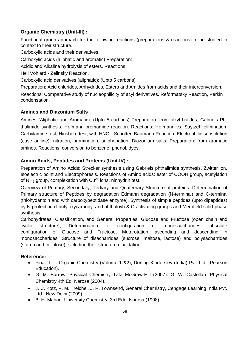# **Organic Chemistry (Unit-III) :**

Functional group approach for the following reactions (preparations & reactions) to be studied in context to their structure.

Carboxylic acids and their derivatives.

Carboxylic acids (aliphatic and aromatic) Preparation:

Acidic and Alkaline hydrolysis of esters. Reactions:

Hell Vohlard - Zelinsky Reaction.

Carboxylic acid derivatives (aliphatic): (Upto 5 carbons)

Preparation: Acid chlorides, Anhydrides, Esters and Amides from acids and their interconversion. Reactions: Comparative study of nucleophilicity of acyl derivatives. Reformatsky Reaction, Perkin condensation.

# **Amines and Diazonium Salts**

Amines (Aliphatic and Aromatic): (Upto 5 carbons) Preparation: from alkyl halides, Gabriels Phthalimide synthesis, Hofmann bromamide reaction. Reactions: Hofmann vs. Saytzeff elimination, Carbylamine test, Hinsberg test, with HNO<sub>2</sub>, Schotten Baumann Reaction. Electrophilic substitution (case aniline): nitration, bromination, sulphonation. Diazonium salts: Preparation: from aromatic amines. Reactions: conversion to benzene, phenol, dyes.

# **Amino Acids, Peptides and Proteins (Unit-IV) :**

Preparation of Amino Acids: Strecker synthesis using Gabriels phthalimide synthesis. Zwitter ion, Isoelectric point and Electrophoresis. Reactions of Amino acids: ester of COOH group, acetylation of NH<sub>2</sub> group, complexation with  $Cu^{2+}$  ions, ninhydrin test.

Overview of Primary, Secondary, Tertiary and Quaternary Structure of proteins. Determination of Primary structure of Peptides by degradation Edmann degradation (N-terminal) and C-terminal (thiohydantoin and with carboxypeptidase enzyme). Synthesis of simple peptides (upto dipeptides) by N-protection (t-butyloxycarbonyl and phthaloyl) & C-activating groups and Merrifield solid-phase synthesis.

Carbohydrates: Classification, and General Properties, Glucose and Fructose (open chain and cyclic structure), Determination of configuration of monosaccharides, absolute configuration of Glucose and Fructose, Mutarotation, ascending and descending in monosaccharides. Structure of disacharrides (sucrose, maltose, lactose) and polysacharrides (starch and cellulose) excluding their structure elucidation.

- Finar, I. L. Organic Chemistry (Volume 1 &2), Dorling Kindersley (India) Pvt. Ltd. (Pearson Education).
- G. M. Barrow: Physical Chemistry Tata McGraw-Hill (2007). G. W. Castellan: Physical Chemistry 4th Ed. Narosa (2004).
- J. C. Kotz, P. M. Treichel, J. R. Townsend, General Chemistry, Cengage Learning India Pvt. Ltd.: New Delhi (2009).
- B. H. Mahan: University Chemistry, 3rd Edn. Narosa (1998).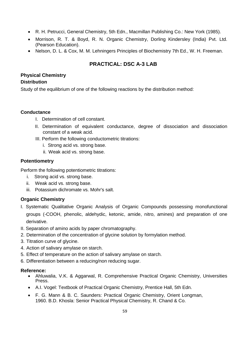- R. H. Petrucci, General Chemistry, 5th Edn., Macmillan Publishing Co.: New York (1985).
- Morrison, R. T. & Boyd, R. N. Organic Chemistry, Dorling Kindersley (India) Pvt. Ltd. (Pearson Education).
- Nelson, D. L. & Cox, M. M. Lehningers Principles of Biochemistry 7th Ed., W. H. Freeman.

# **PRACTICAL: DSC A-3 LAB**

# **Physical Chemistry**

# **Distribution**

Study of the equilibrium of one of the following reactions by the distribution method:

#### **Conductance**

- I. Determination of cell constant.
- II. Determination of equivalent conductance, degree of dissociation and dissociation constant of a weak acid.
- III. Perform the following conductometric titrations:
	- i. Strong acid vs. strong base.
	- ii. Weak acid vs. strong base.

### **Potentiometry**

Perform the following potentiometric titrations:

- i. Strong acid vs. strong base.
- ii. Weak acid vs. strong base.
- iii. Potassium dichromate vs. Mohr's salt.

# **Organic Chemistry**

- I. Systematic Qualitative Organic Analysis of Organic Compounds possessing monofunctional groups (-COOH, phenolic, aldehydic, ketonic, amide, nitro, amines) and preparation of one derivative.
- II. Separation of amino acids by paper chromatography.
- 2. Determination of the concentration of glycine solution by formylation method.
- 3. Titration curve of glycine.
- 4. Action of salivary amylase on starch.
- 5. Effect of temperature on the action of salivary amylase on starch.
- 6. Differentiation between a reducing/non reducing sugar.

- Ahluwalia, V.K. & Aggarwal, R. Comprehensive Practical Organic Chemistry, Universities Press.
- A.I. Vogel: Textbook of Practical Organic Chemistry, Prentice Hall, 5th Edn.
- F. G. Mann & B. C. Saunders: Practical Organic Chemistry, Orient Longman, 1960. B.D. Khosla: Senior Practical Physical Chemistry, R. Chand & Co.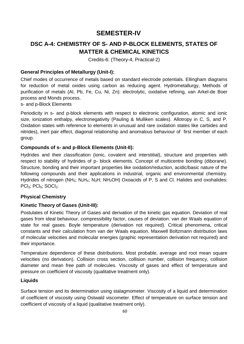# **SEMESTER-IV**

# **DSC A-4: CHEMISTRY OF S- AND P-BLOCK ELEMENTS, STATES OF MATTER & CHEMICAL KINETICS**

Credits-6: (Theory-4, Practical-2)

### **General Principles of Metallurgy (Unit-I):**

Chief modes of occurrence of metals based on standard electrode potentials. Ellingham diagrams for reduction of metal oxides using carbon as reducing agent. Hydrometallurgy, Methods of purification of metals (Al, Pb, Fe, Cu, Ni, Zn): electrolytic, oxidative refining, van Arkel-de Boer process and Monds process.

#### s- and p-Block Elements

Periodicity in s- and p-block elements with respect to electronic configuration, atomic and ionic size, ionization enthalpy, electronegativity (Pauling & Mulliken scales). Allotropy in C, S, and P. Oxidation states with reference to elements in unusual and rare oxidation states like carbides and nitrides), inert pair effect, diagonal relationship and anomalous behaviour of first member of each group.

### **Compounds of s- and p-Block Elements (Unit-II):**

Hydrides and their classification (ionic, covalent and interstitial), structure and properties with respect to stability of hydrides of p- block elements. Concept of multicentre bonding (diborane). Structure, bonding and their important properties like oxidation/reduction, acidic/basic nature of the following compounds and their applications in industrial, organic and environmental chemistry. Hydrides of nitrogen (NH<sub>3</sub>; N<sub>2</sub>H<sub>4</sub>; N<sub>3</sub>H; NH<sub>2</sub>OH) Oxoacids of P, S and Cl. Halides and oxohalides: PCl<sub>3</sub>; PCl<sub>5</sub>; SOCl<sub>2</sub>:

# **Physical Chemistry**

# **Kinetic Theory of Gases (Unit-III):**

Postulates of Kinetic Theory of Gases and derivation of the kinetic gas equation. Deviation of real gases from ideal behaviour, compressibility factor, causes of deviation. van der Waals equation of state for real gases. Boyle temperature (derivation not required). Critical phenomena, critical constants and their calculation from van der Waals equation. Maxwell Boltzmann distribution laws of molecular velocities and molecular energies (graphic representation derivation not required) and their importance.

Temperature dependence of these distributions. Most probable, average and root mean square velocities (no derivation). Collision cross section, collision number, collision frequency, collision diameter and mean free path of molecules. Viscosity of gases and effect of temperature and pressure on coefficient of viscosity (qualitative treatment only).

#### **Liquids**

Surface tension and its determination using stalagmometer. Viscosity of a liquid and determination of coefficient of viscosity using Ostwald viscometer. Effect of temperature on surface tension and coefficient of viscosity of a liquid (qualitative treatment only).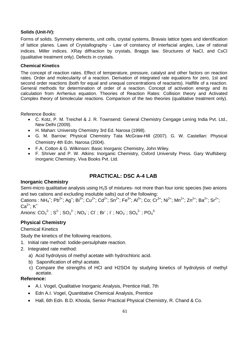#### **Solids (Unit-IV):**

Forms of solids. Symmetry elements, unit cells, crystal systems, Bravais lattice types and identification of lattice planes. Laws of Crystallography - Law of constancy of interfacial angles, Law of rational indices. Miller indices. XRay diffraction by crystals, Braggs law. Structures of NaCl, and CsCl (qualitative treatment only). Defects in crystals.

#### **Chemical Kinetics**

The concept of reaction rates. Effect of temperature, pressure, catalyst and other factors on reaction rates. Order and molecularity of a reaction. Derivation of integrated rate equations for zero, 1st and second order reactions (both for equal and unequal concentrations of reactants). Halflife of a reaction. General methods for determination of order of a reaction. Concept of activation energy and its calculation from Arrhenius equation. Theories of Reaction Rates: Collision theory and Activated Complex theory of bimolecular reactions. Comparison of the two theories (qualitative treatment only).

Reference Books:

- C. Kotz, P. M. Treichel & J. R. Townsend: General Chemistry Cengage Lening India Pvt. Ltd., New Delhi (2009).
- H. Mahan: University Chemistry 3rd Ed. Narosa (1998).
- G. M. Barrow: Physical Chemistry Tata McGraw-Hill (2007). G. W. Castellan: Physical Chemistry 4th Edn. Narosa (2004).
- F.A. Cotton & G. Wilkinson: Basic Inorganic Chemistry, John Wiley.
- F. Shriver and P. W. Atkins: Inorganic Chemistry, Oxford University Press. Gary Wulfsberg: Inorganic Chemistry, Viva Books Pvt. Ltd.

# **PRACTICAL: DSC A-4 LAB**

#### **Inorganic Chemistry**

Semi-micro qualitative analysis using  $H_2S$  of mixtures- not more than four ionic species (two anions and two cations and excluding insoluble salts) out of the following:

Cations : NH<sub>4</sub><sup>+</sup>; Pb<sup>2+</sup>; Ag<sup>+</sup>; Bi<sup>3+</sup>; Cu<sup>2+</sup>; Cd<sup>2+</sup>; Sn<sup>2+</sup>; Fe<sup>3+</sup>; Al<sup>3+</sup>; Co; Cr<sup>3+</sup>; Ni<sup>2+</sup>; Mn<sup>2+</sup>; Zn<sup>2+</sup>; Ba<sup>2+</sup>; Sr<sup>2+</sup>;  $Ca^{2+}$ :  $K^{+}$ 

Anions:  $CO_3^2$ ;  $S^2$ ;  $SO_3^2$ ;  $NO_3$ ;  $Cl$ ; Br; I;  $NO_3$ ;  $SO_4^2$ ;  $PO_4^3$ 

#### **Physical Chemistry**

#### Chemical Kinetics

Study the kinetics of the following reactions.

- 1. Initial rate method: Iodide-persulphate reaction.
- 2. Integrated rate method:
	- a) Acid hydrolysis of methyl acetate with hydrochloric acid.
	- b) Saponification of ethyl acetate.
	- c) Compare the strengths of HCl and H2SO4 by studying kinetics of hydrolysis of methyl acetate.

- A.I. Vogel, Qualitative Inorganic Analysis, Prentice Hall, 7th
- Edn A.I. Vogel, Quantitative Chemical Analysis, Prentice
- Hall, 6th Edn. B.D. Khosla, Senior Practical Physical Chemistry, R. Chand & Co.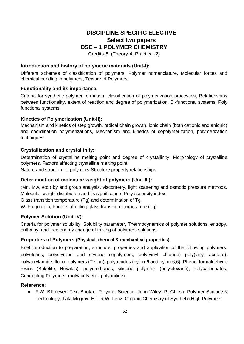# **DISCIPLINE SPECIFIC ELECTIVE Select two papers DSE – 1 POLYMER CHEMISTRY**

Credits-6: (Theory-4, Practical-2)

#### **Introduction and history of polymeric materials (Unit-I):**

Different schemes of classification of polymers, Polymer nomenclature, Molecular forces and chemical bonding in polymers, Texture of Polymers.

#### **Functionality and its importance:**

Criteria for synthetic polymer formation, classification of polymerization processes, Relationships between functionality, extent of reaction and degree of polymerization. Bi-functional systems, Poly functional systems.

#### **Kinetics of Polymerization (Unit-II):**

Mechanism and kinetics of step growth, radical chain growth, ionic chain (both cationic and anionic) and coordination polymerizations, Mechanism and kinetics of copolymerization, polymerization techniques.

#### **Crystallization and crystallinity:**

Determination of crystalline melting point and degree of crystallinity, Morphology of crystalline polymers, Factors affecting crystalline melting point.

Nature and structure of polymers-Structure property relationships.

#### **Determination of molecular weight of polymers (Unit-III):**

(Mn, Mw, etc.) by end group analysis, viscometry, light scattering and osmotic pressure methods. Molecular weight distribution and its significance. Polydispersity index.

Glass transition temperature (Tg) and determination of Tg

WLF equation, Factors affecting glass transition temperature (Tg).

#### **Polymer Solution (Unit-IV):**

Criteria for polymer solubility, Solubility parameter, Thermodynamics of polymer solutions, entropy, enthalpy, and free energy change of mixing of polymers solutions.

#### **Properties of Polymers (Physical, thermal & mechanical properties).**

Brief introduction to preparation, structure, properties and application of the following polymers: polyolefins, polystyrene and styrene copolymers, poly(vinyl chloride) poly(vinyl acetate), polyacrylamide, fluoro polymers (Teflon), polyamides (nylon-6 and nylon 6,6). Phenol formaldehyde resins (Bakelite, Novalac), polyurethanes, silicone polymers (polysiloxane), Polycarbonates, Conducting Polymers, (polyacetylene, polyaniline).

#### **Reference:**

 F.W. Billmeyer: Text Book of Polymer Science, John Wiley. P. Ghosh: Polymer Science & Technology, Tata Mcgraw-Hill. R.W. Lenz: Organic Chemistry of Synthetic High Polymers.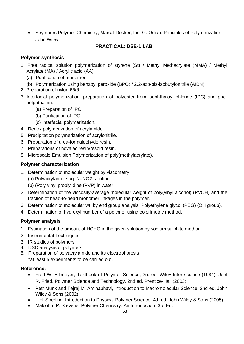Seymours Polymer Chemistry, Marcel Dekker, Inc. G. Odian: Principles of Polymerization, John Wiley.

# **PRACTICAL: DSE-1 LAB**

### **Polymer synthesis**

- 1. Free radical solution polymerization of styrene (St) / Methyl Methacrylate (MMA) / Methyl Acrylate (MA) / Acrylic acid (AA).
	- (a) Purification of monomer.
	- (b) Polymerization using benzoyl peroxide (BPO) / 2,2-azo-bis-isobutylonitrile (AIBN).
- 2. Preparation of nylon 66/6.
- 3. Interfacial polymerization, preparation of polyester from isophthaloyl chloride (IPC) and phenolphthalein.
	- (a) Preparation of IPC.
	- (b) Purification of IPC.
	- (c) Interfacial polymerization.
- 4. Redox polymerization of acrylamide.
- 5. Precipitation polymerization of acrylonitrile.
- 6. Preparation of urea-formaldehyde resin.
- 7. Preparations of novalac resin/resold resin.
- 8. Microscale Emulsion Polymerization of poly(methylacrylate).

### **Polymer characterization**

- 1. Determination of molecular weight by viscometry:
	- (a) Polyacrylamide-aq. NaNO2 solution
	- (b) (Poly vinyl proplylidine (PVP) in water
- 2. Determination of the viscosity-average molecular weight of poly(vinyl alcohol) (PVOH) and the fraction of head-to-head monomer linkages in the polymer.
- 3. Determination of molecular wt. by end group analysis: Polyethylene glycol (PEG) (OH group).
- 4. Determination of hydroxyl number of a polymer using colorimetric method.

# **Polymer analysis**

- 1. Estimation of the amount of HCHO in the given solution by sodium sulphite method
- 2. Instrumental Techniques
- 3. IR studies of polymers
- 4. DSC analysis of polymers
- 5. Preparation of polyacrylamide and its electrophoresis \*at least 5 experiments to be carried out.

- Fred W. Billmeyer, Textbook of Polymer Science, 3rd ed. Wiley-Inter science (1984). Joel R. Fried, Polymer Science and Technology, 2nd ed. Prentice-Hall (2003).
- Petr Munk and Tejraj M. Aminabhavi, Introduction to Macromolecular Science, 2nd ed. John Wiley & Sons (2002).
- L.H. Sperling, Introduction to Physical Polymer Science, 4th ed. John Wiley & Sons (2005).
- Malcohm P. Stevens, Polymer Chemistry: An Introduction, 3rd Ed.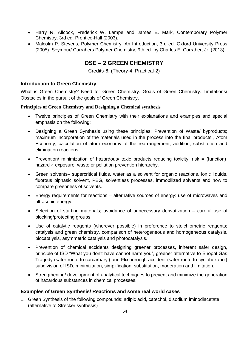- Harry R. Allcock, Frederick W. Lampe and James E. Mark, Contemporary Polymer Chemistry, 3rd ed. Prentice-Hall (2003).
- Malcolm P. Stevens, Polymer Chemistry: An Introduction, 3rd ed. Oxford University Press (2005). Seymour/ Carrahers Polymer Chemistry, 9th ed. by Charles E. Carraher, Jr. (2013).

# **DSE – 2 GREEN CHEMISTRY**

Credits-6: (Theory-4, Practical-2)

#### **Introduction to Green Chemistry**

What is Green Chemistry? Need for Green Chemistry. Goals of Green Chemistry. Limitations/ Obstacles in the pursuit of the goals of Green Chemistry.

#### **Principles of Green Chemistry and Designing a Chemical synthesis**

- Twelve principles of Green Chemistry with their explanations and examples and special emphasis on the following:
- Designing a Green Synthesis using these principles; Prevention of Waste/ byproducts; maximum incorporation of the materials used in the process into the final products , Atom Economy, calculation of atom economy of the rearrangement, addition, substitution and elimination reactions.
- Prevention/ minimization of hazardous/ toxic products reducing toxicity. risk = (function) hazard x exposure; waste or pollution prevention hierarchy.
- Green solvents– supercritical fluids, water as a solvent for organic reactions, ionic liquids, fluorous biphasic solvent, PEG, solventless processes, immobilized solvents and how to compare greenness of solvents.
- Energy requirements for reactions alternative sources of energy: use of microwaves and ultrasonic energy.
- Selection of starting materials; avoidance of unnecessary derivatization careful use of blocking/protecting groups.
- Use of catalytic reagents (wherever possible) in preference to stoichiometric reagents; catalysis and green chemistry, comparison of heterogeneous and homogeneous catalysis, biocatalysis, asymmetric catalysis and photocatalysis.
- Prevention of chemical accidents designing greener processes, inherent safer design, principle of ISD "What you don't have cannot harm you", greener alternative to Bhopal Gas Tragedy (safer route to carcarbaryl) and Flixiborough accident (safer route to cyclohexanol) subdivision of ISD, minimization, simplification, substitution, moderation and limitation.
- Strengthening/ development of analytical techniques to prevent and minimize the generation of hazardous substances in chemical processes.

# **Examples of Green Synthesis/ Reactions and some real world cases**

1. Green Synthesis of the following compounds: adipic acid, catechol, disodium iminodiacetate (alternative to Strecker synthesis)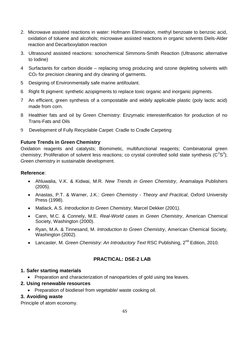- 2. Microwave assisted reactions in water: Hofmann Elimination, methyl benzoate to benzoic acid, oxidation of toluene and alcohols; microwave assisted reactions in organic solvents Diels-Alder reaction and Decarboxylation reaction
- 3. Ultrasound assisted reactions: sonochemical Simmons-Smith Reaction (Ultrasonic alternative to Iodine)
- 4 Surfactants for carbon dioxide replacing smog producing and ozone depleting solvents with CO<sup>2</sup> for precision cleaning and dry cleaning of garments.
- 5 Designing of Environmentally safe marine antifoulant.
- 6 Right fit pigment: synthetic azopigments to replace toxic organic and inorganic pigments.
- 7 An efficient, green synthesis of a compostable and widely applicable plastic (poly lactic acid) made from corn.
- 8 Healthier fats and oil by Green Chemistry: Enzymatic interesterification for production of no Trans-Fats and Oils
- 9 Development of Fully Recyclable Carpet: Cradle to Cradle Carpeting

#### **Future Trends in Green Chemistry**

Oxidation reagents and catalysts; Biomimetic, multifunctional reagents; Combinatorial green chemistry; Proliferation of solvent less reactions; co crystal controlled solid state synthesis ( $C^2S^3$ ); Green chemistry in sustainable development.

#### **Reference**:

- Ahluwalia, V.K. & Kidwai, M.R. *New Trends in Green Chemistry*, Anamalaya Publishers (2005).
- Anastas, P.T. & Warner, J.K.: *Green Chemistry - Theory and Practical*, Oxford University Press (1998).
- Matlack, A.S. *Introduction to Green Chemistry*, Marcel Dekker (2001).
- Cann, M.C. & Connely, M.E. *Real-World cases in Green Chemistry*, American Chemical Society, Washington (2000).
- Ryan, M.A. & Tinnesand, M. *Introduction to Green Chemistry*, American Chemical Society, Washington (2002).
- Lancaster, M. *Green Chemistry: An Introductory Text RSC Publishing*, 2<sup>nd</sup> Edition, 2010.

# **PRACTICAL: DSE-2 LAB**

#### **1. Safer starting materials**

- Preparation and characterization of nanoparticles of gold using tea leaves.
- **2. Using renewable resources** 
	- Preparation of biodiesel from vegetable/ waste cooking oil.

#### **3. Avoiding waste**

Principle of atom economy.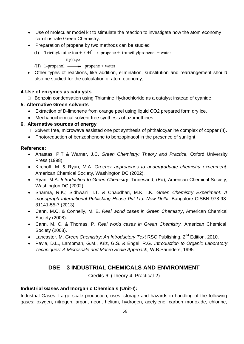- Use of molecular model kit to stimulate the reaction to investigate how the atom economy can illustrate Green Chemistry.
- Preparation of propene by two methods can be studied
	- (I) Triethylamine ion + OH  $\rightarrow$  propene + trimethylpropene + water
		- $H_2SO_4/\Delta$
	- (II) 1-propanol  $\longrightarrow$  propene + water
- Other types of reactions, like addition, elimination, substitution and rearrangement should also be studied for the calculation of atom economy.

### **4.Use of enzymes as catalysts**

 $\Box$  Benzoin condensation using Thiamine Hydrochloride as a catalyst instead of cyanide.

### **5. Alternative Green solvents**

- Extraction of D-limonene from orange peel using liquid CO2 prepared form dry ice.
- Mechanochemical solvent free synthesis of azomethines

### **6. Alternative sources of energy**

- $\Box$  Solvent free, microwave assisted one pot synthesis of phthalocyanine complex of copper (II).
- Photoreduction of benzophenone to benzopinacol in the presence of sunlight.

### **Reference:**

- Anastas, P.T & Warner, J.C. *Green Chemistry: Theory and Practice,* Oxford University Press (1998).
- Kirchoff, M. & Ryan, M.A. *Greener approaches to undergraduate chemistry experiment*. American Chemical Society, Washington DC (2002).
- Ryan, M.A. *Introduction to Green Chemistry*, Tinnesand; (Ed), American Chemical Society, Washington DC (2002).
- Sharma, R.K.; Sidhwani, I.T. & Chaudhari, M.K. I.K*. Green Chemistry Experiment: A monograph International Publishing House Pvt Ltd. New Delhi*. Bangalore CISBN 978-93- 81141-55-7 (2013).
- Cann, M.C. & Connelly, M. E. *Real world cases in Green Chemistry*, American Chemical Society (2008).
- Cann, M. C. & Thomas, P. *Real world cases in Green Chemistry,* American Chemical Society (2008).
- Lancaster, M. *Green Chemistry: An Introductory Text RSC Publishing*, 2<sup>nd</sup> Edition, 2010.
- Pavia, D.L., Lampman, G.M., Kriz, G.S. & Engel, R.G. *Introduction to Organic Laboratory Techniques: A Microscale and Macro Scale Approach,* W.B.Saunders, 1995.

# **DSE – 3 INDUSTRIAL CHEMICALS AND ENVIRONMENT**

Credits-6: (Theory-4, Practical-2)

# **Industrial Gases and Inorganic Chemicals (Unit-I):**

Industrial Gases: Large scale production, uses, storage and hazards in handling of the following gases: oxygen, nitrogen, argon, neon, helium, hydrogen, acetylene, carbon monoxide, chlorine,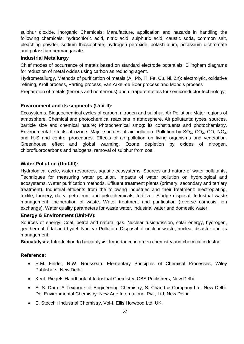sulphur dioxide. Inorganic Chemicals: Manufacture, application and hazards in handling the following chemicals: hydrochloric acid, nitric acid, sulphuric acid, caustic soda, common salt, bleaching powder, sodium thiosulphate, hydrogen peroxide, potash alum, potassium dichromate and potassium permanganate.

#### **Industrial Metallurgy**

Chief modes of occurrence of metals based on standard electrode potentials. Ellingham diagrams for reduction of metal oxides using carbon as reducing agent.

Hydrometallurgy, Methods of purification of metals (Al, Pb, Ti, Fe, Cu, Ni, Zn): electrolytic, oxidative refining, Kroll process, Parting process, van Arkel-de Boer process and Mond's process

Preparation of metals (ferrous and nonferrous) and ultrapure metals for semiconductor technology.

#### **Environment and its segments (Unit-II):**

Ecosystems. Biogeochemical cycles of carbon, nitrogen and sulphur. Air Pollution: Major regions of atmosphere. Chemical and photochemical reactions in atmosphere. Air pollutants: types, sources, particle size and chemical nature; Photochemical smog: its constituents and photochemistry. Environmental effects of ozone. Major sources of air pollution. Pollution by  $SO_2$ ;  $CO_2$ ;  $CO$ ;  $NO_x$ ; and H2S and control procedures. Effects of air pollution on living organisms and vegetation. Greenhouse effect and global warming, Ozone depletion by oxides of nitrogen, chlorofluorocarbons and halogens, removal of sulphur from coal.

#### **Water Pollution (Unit-III):**

Hydrological cycle, water resources, aquatic ecosystems, Sources and nature of water pollutants, Techniques for measuring water pollution, Impacts of water pollution on hydrological and ecosystems. Water purification methods. Effluent treatment plants (primary, secondary and tertiary treatment). Industrial effluents from the following industries and their treatment: electroplating, textile, tannery, dairy, petroleum and petrochemicals, fertilizer. Sludge disposal. Industrial waste management, incineration of waste. Water treatment and purification (reverse osmosis, ion exchange). Water quality parameters for waste water, industrial water and domestic water.

#### **Energy & Environment (Unit-IV):**

Sources of energy: Coal, petrol and natural gas. Nuclear fusion/fission, solar energy, hydrogen, geothermal, tidal and hydel. Nuclear Pollution: Disposal of nuclear waste, nuclear disaster and its management.

**Biocatalysis:** Introduction to biocatalysis: Importance in green chemistry and chemical industry.

- R.M. Felder, R.W. Rousseau: Elementary Principles of Chemical Processes, Wiley Publishers, New Delhi.
- Kent: Riegels Handbook of Industrial Chemistry, CBS Publishers, New Delhi.
- S. S. Dara: A Textbook of Engineering Chemistry, S. Chand & Company Ltd. New Delhi. De, Environmental Chemistry: New Age International Pvt., Ltd, New Delhi.
- E. Stocchi: Industrial Chemistry, Vol-I, Ellis Horwood Ltd. UK.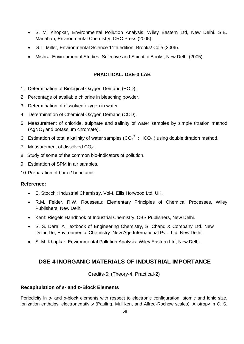- S. M. Khopkar, Environmental Pollution Analysis: Wiley Eastern Ltd, New Delhi. S.E. Manahan, Environmental Chemistry, CRC Press (2005).
- G.T. Miller, Environmental Science 11th edition. Brooks/ Cole (2006).
- Mishra, Environmental Studies. Selective and Scienti c Books, New Delhi (2005).

#### **PRACTICAL: DSE-3 LAB**

- 1. Determination of Biological Oxygen Demand (BOD).
- 2. Percentage of available chlorine in bleaching powder.
- 3. Determination of dissolved oxygen in water.
- 4. Determination of Chemical Oxygen Demand (COD).
- 5. Measurement of chloride, sulphate and salinity of water samples by simple titration method  $(AqNO<sub>3</sub>$  and potassium chromate).
- 6. Estimation of total alkalinity of water samples ( $CO_3^2$ ; HCO<sub>3</sub>) using double titration method.
- 7. Measurement of dissolved  $CO<sub>2</sub>$ :
- 8. Study of some of the common bio-indicators of pollution.
- 9. Estimation of SPM in air samples.

10. Preparation of borax/ boric acid.

#### **Reference:**

- E. Stocchi: Industrial Chemistry, Vol-I, Ellis Horwood Ltd. UK.
- R.M. Felder, R.W. Rousseau: Elementary Principles of Chemical Processes, Wiley Publishers, New Delhi.
- Kent: Riegels Handbook of Industrial Chemistry, CBS Publishers, New Delhi.
- S. S. Dara: A Textbook of Engineering Chemistry, S. Chand & Company Ltd. New Delhi. De, Environmental Chemistry: New Age International Pvt., Ltd, New Delhi.
- S. M. Khopkar, Environmental Pollution Analysis: Wiley Eastern Ltd, New Delhi.

# **DSE-4 INORGANIC MATERIALS OF INDUSTRIAL IMPORTANCE**

Credits-6: (Theory-4, Practical-2)

#### **Recapitulation of** *s***- and** *p***-Block Elements**

Periodicity in *s*- and *p*-block elements with respect to electronic configuration, atomic and ionic size, ionization enthalpy, electronegativity (Pauling, Mulliken, and Alfred-Rochow scales). Allotropy in C, S,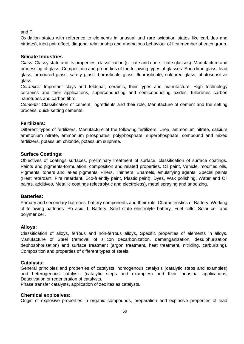and P.

Oxidation states with reference to elements in unusual and rare oxidation states like carbides and nitrides), inert pair effect, diagonal relationship and anomalous behaviour of first member of each group.

#### **Silicate Industries**

*Glass:* Glassy state and its properties, classification (silicate and non-silicate glasses). Manufacture and processing of glass. Composition and properties of the following types of glasses: Soda lime glass, lead glass, armoured glass, safety glass, borosilicate glass, fluorosilicate, coloured glass, photosensitive glass.

*Ceramics:* Important clays and feldspar, ceramic, their types and manufacture. High technology ceramics and their applications, superconducting and semiconducting oxides, fullerenes carbon nanotubes and carbon fibre.

*Cements:* Classification of cement, ingredients and their role, Manufacture of cement and the setting process, quick setting cements.

#### **Fertilizers:**

Different types of fertilizers. Manufacture of the following fertilizers: Urea, ammonium nitrate, calcium ammonium nitrate, ammonium phosphates; polyphosphate, superphosphate, compound and mixed fertilizers, potassium chloride, potassium sulphate.

#### **Surface Coatings:**

Objectives of coatings surfaces, preliminary treatment of surface, classification of surface coatings. Paints and pigments-formulation, composition and related properties. Oil paint, Vehicle, modified oils, Pigments, toners and lakes pigments, Fillers, Thinners, Enamels, emulsifying agents. Special paints (Heat retardant, Fire retardant, Eco-friendly paint, Plastic paint), Dyes, Wax polishing, Water and Oil paints, additives, Metallic coatings (electrolytic and electroless), metal spraying and anodizing.

#### **Batteries:**

Primary and secondary batteries, battery components and their role, Characteristics of Battery. Working of following batteries: Pb acid, Li-Battery, Solid state electrolyte battery. Fuel cells, Solar cell and polymer cell.

#### **Alloys:**

Classification of alloys, ferrous and non-ferrous alloys, Specific properties of elements in alloys. Manufacture of Steel (removal of silicon decarbonization, demanganization, desulphurization dephosphorisation) and surface treatment (argon treatment, heat treatment, nitriding, carburizing). Composition and properties of different types of steels.

#### **Catalysis:**

General principles and properties of catalysts, homogenous catalysis (catalytic steps and examples) and heterogenous catalysis (catalytic steps and examples) and their industrial applications, Deactivation or regeneration of catalysts.

Phase transfer catalysts, application of zeolites as catalysts.

#### **Chemical explosives:**

Origin of explosive properties in organic compounds, preparation and explosive properties of lead